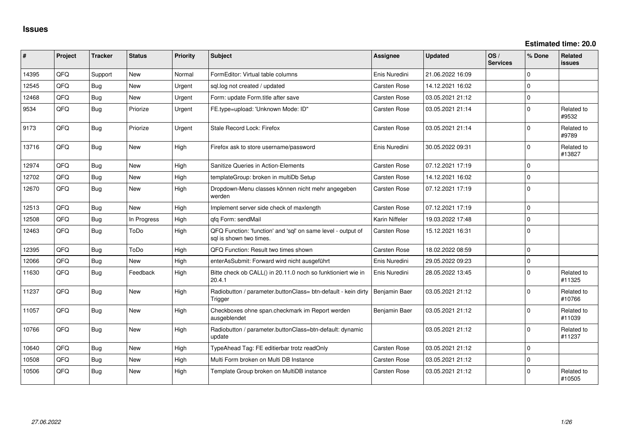**Estimated time: 20.0**

| #     | Project | <b>Tracker</b> | <b>Status</b> | <b>Priority</b> | <b>Subject</b>                                                                          | Assignee            | <b>Updated</b>   | OS/<br><b>Services</b> | % Done      | Related<br><b>issues</b> |
|-------|---------|----------------|---------------|-----------------|-----------------------------------------------------------------------------------------|---------------------|------------------|------------------------|-------------|--------------------------|
| 14395 | QFQ     | Support        | <b>New</b>    | Normal          | FormEditor: Virtual table columns                                                       | Enis Nuredini       | 21.06.2022 16:09 |                        | $\Omega$    |                          |
| 12545 | QFQ     | Bug            | <b>New</b>    | Urgent          | sql.log not created / updated                                                           | Carsten Rose        | 14.12.2021 16:02 |                        | $\mathbf 0$ |                          |
| 12468 | QFQ     | Bug            | <b>New</b>    | Urgent          | Form: update Form.title after save                                                      | Carsten Rose        | 03.05.2021 21:12 |                        | $\Omega$    |                          |
| 9534  | QFQ     | Bug            | Priorize      | Urgent          | FE.type=upload: 'Unknown Mode: ID"                                                      | Carsten Rose        | 03.05.2021 21:14 |                        | $\mathbf 0$ | Related to<br>#9532      |
| 9173  | QFQ     | Bug            | Priorize      | Urgent          | Stale Record Lock: Firefox                                                              | Carsten Rose        | 03.05.2021 21:14 |                        | $\Omega$    | Related to<br>#9789      |
| 13716 | QFQ     | Bug            | <b>New</b>    | High            | Firefox ask to store username/password                                                  | Enis Nuredini       | 30.05.2022 09:31 |                        | $\mathbf 0$ | Related to<br>#13827     |
| 12974 | QFQ     | Bug            | <b>New</b>    | High            | Sanitize Queries in Action-Elements                                                     | Carsten Rose        | 07.12.2021 17:19 |                        | $\mathbf 0$ |                          |
| 12702 | QFQ     | Bug            | <b>New</b>    | High            | templateGroup: broken in multiDb Setup                                                  | <b>Carsten Rose</b> | 14.12.2021 16:02 |                        | $\Omega$    |                          |
| 12670 | QFQ     | <b>Bug</b>     | <b>New</b>    | High            | Dropdown-Menu classes können nicht mehr angegeben<br>werden                             | Carsten Rose        | 07.12.2021 17:19 |                        | $\Omega$    |                          |
| 12513 | QFQ     | Bug            | <b>New</b>    | High            | Implement server side check of maxlength                                                | Carsten Rose        | 07.12.2021 17:19 |                        | $\Omega$    |                          |
| 12508 | QFQ     | <b>Bug</b>     | In Progress   | High            | qfq Form: sendMail                                                                      | Karin Niffeler      | 19.03.2022 17:48 |                        | $\mathbf 0$ |                          |
| 12463 | QFQ     | Bug            | ToDo          | High            | QFQ Function: 'function' and 'sgl' on same level - output of<br>sal is shown two times. | Carsten Rose        | 15.12.2021 16:31 |                        | $\Omega$    |                          |
| 12395 | QFQ     | Bug            | ToDo          | High            | QFQ Function: Result two times shown                                                    | <b>Carsten Rose</b> | 18.02.2022 08:59 |                        | $\Omega$    |                          |
| 12066 | QFQ     | Bug            | <b>New</b>    | High            | enterAsSubmit: Forward wird nicht ausgeführt                                            | Enis Nuredini       | 29.05.2022 09:23 |                        | $\mathbf 0$ |                          |
| 11630 | QFQ     | Bug            | Feedback      | High            | Bitte check ob CALL() in 20.11.0 noch so funktioniert wie in<br>20.4.1                  | Enis Nuredini       | 28.05.2022 13:45 |                        | $\mathbf 0$ | Related to<br>#11325     |
| 11237 | QFQ     | <b>Bug</b>     | <b>New</b>    | High            | Radiobutton / parameter.buttonClass= btn-default - kein dirty<br>Trigger                | Benjamin Baer       | 03.05.2021 21:12 |                        | $\Omega$    | Related to<br>#10766     |
| 11057 | QFQ     | <b>Bug</b>     | New           | High            | Checkboxes ohne span.checkmark im Report werden<br>ausgeblendet                         | Benjamin Baer       | 03.05.2021 21:12 |                        | $\mathbf 0$ | Related to<br>#11039     |
| 10766 | QFQ     | <b>Bug</b>     | New           | High            | Radiobutton / parameter.buttonClass=btn-default: dynamic<br>update                      |                     | 03.05.2021 21:12 |                        | $\mathbf 0$ | Related to<br>#11237     |
| 10640 | QFQ     | <b>Bug</b>     | New           | High            | TypeAhead Tag: FE editierbar trotz readOnly                                             | Carsten Rose        | 03.05.2021 21:12 |                        | $\mathbf 0$ |                          |
| 10508 | QFQ     | Bug            | <b>New</b>    | High            | Multi Form broken on Multi DB Instance                                                  | <b>Carsten Rose</b> | 03.05.2021 21:12 |                        | $\mathbf 0$ |                          |
| 10506 | QFQ     | Bug            | New           | High            | Template Group broken on MultiDB instance                                               | <b>Carsten Rose</b> | 03.05.2021 21:12 |                        | $\Omega$    | Related to<br>#10505     |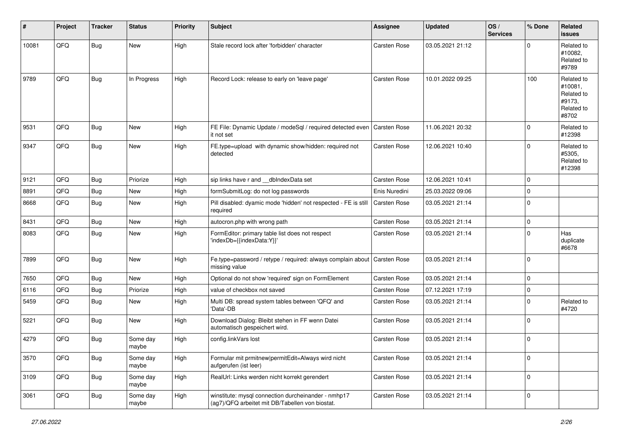| #     | Project | <b>Tracker</b> | <b>Status</b>     | <b>Priority</b> | <b>Subject</b>                                                                                         | <b>Assignee</b>     | <b>Updated</b>   | OS/<br><b>Services</b> | % Done      | <b>Related</b><br>issues                                             |
|-------|---------|----------------|-------------------|-----------------|--------------------------------------------------------------------------------------------------------|---------------------|------------------|------------------------|-------------|----------------------------------------------------------------------|
| 10081 | QFQ     | Bug            | New               | High            | Stale record lock after 'forbidden' character                                                          | Carsten Rose        | 03.05.2021 21:12 |                        | $\Omega$    | Related to<br>#10082.<br>Related to<br>#9789                         |
| 9789  | QFQ     | Bug            | In Progress       | High            | Record Lock: release to early on 'leave page'                                                          | Carsten Rose        | 10.01.2022 09:25 |                        | 100         | Related to<br>#10081,<br>Related to<br>#9173,<br>Related to<br>#8702 |
| 9531  | QFQ     | Bug            | New               | High            | FE File: Dynamic Update / modeSql / required detected even<br>it not set                               | <b>Carsten Rose</b> | 11.06.2021 20:32 |                        | $\Omega$    | Related to<br>#12398                                                 |
| 9347  | QFQ     | Bug            | New               | High            | FE.type=upload with dynamic show/hidden: required not<br>detected                                      | Carsten Rose        | 12.06.2021 10:40 |                        | $\mathbf 0$ | Related to<br>#5305,<br>Related to<br>#12398                         |
| 9121  | QFQ     | Bug            | Priorize          | High            | sip links have r and __dbIndexData set                                                                 | Carsten Rose        | 12.06.2021 10:41 |                        | $\mathbf 0$ |                                                                      |
| 8891  | QFQ     | Bug            | New               | High            | formSubmitLog: do not log passwords                                                                    | Enis Nuredini       | 25.03.2022 09:06 |                        | $\mathbf 0$ |                                                                      |
| 8668  | QFQ     | Bug            | New               | High            | Pill disabled: dyamic mode 'hidden' not respected - FE is still<br>required                            | Carsten Rose        | 03.05.2021 21:14 |                        | $\Omega$    |                                                                      |
| 8431  | QFQ     | Bug            | New               | High            | autocron.php with wrong path                                                                           | Carsten Rose        | 03.05.2021 21:14 |                        | $\mathbf 0$ |                                                                      |
| 8083  | QFQ     | Bug            | New               | High            | FormEditor: primary table list does not respect<br>'indexDb={{indexData:Y}}'                           | Carsten Rose        | 03.05.2021 21:14 |                        | $\Omega$    | Has<br>duplicate<br>#6678                                            |
| 7899  | QFQ     | Bug            | New               | High            | Fe.type=password / retype / required: always complain about<br>missing value                           | Carsten Rose        | 03.05.2021 21:14 |                        | $\Omega$    |                                                                      |
| 7650  | QFQ     | Bug            | New               | High            | Optional do not show 'required' sign on FormElement                                                    | Carsten Rose        | 03.05.2021 21:14 |                        | $\mathbf 0$ |                                                                      |
| 6116  | QFQ     | <b>Bug</b>     | Priorize          | High            | value of checkbox not saved                                                                            | Carsten Rose        | 07.12.2021 17:19 |                        | $\mathbf 0$ |                                                                      |
| 5459  | QFQ     | Bug            | <b>New</b>        | High            | Multi DB: spread system tables between 'QFQ' and<br>'Data'-DB                                          | Carsten Rose        | 03.05.2021 21:14 |                        | $\Omega$    | Related to<br>#4720                                                  |
| 5221  | QFQ     | Bug            | New               | High            | Download Dialog: Bleibt stehen in FF wenn Datei<br>automatisch gespeichert wird.                       | Carsten Rose        | 03.05.2021 21:14 |                        | $\mathbf 0$ |                                                                      |
| 4279  | QFQ     | Bug            | Some day<br>maybe | High            | config.linkVars lost                                                                                   | Carsten Rose        | 03.05.2021 21:14 |                        | $\Omega$    |                                                                      |
| 3570  | QFQ     | <b>Bug</b>     | Some day<br>maybe | High            | Formular mit prmitnew permitEdit=Always wird nicht<br>aufgerufen (ist leer)                            | Carsten Rose        | 03.05.2021 21:14 |                        | $\mathbf 0$ |                                                                      |
| 3109  | QFQ     | Bug            | Some day<br>maybe | High            | RealUrl: Links werden nicht korrekt gerendert                                                          | Carsten Rose        | 03.05.2021 21:14 |                        | $\mathbf 0$ |                                                                      |
| 3061  | QFQ     | <b>Bug</b>     | Some day<br>maybe | High            | winstitute: mysql connection durcheinander - nmhp17<br>(ag7)/QFQ arbeitet mit DB/Tabellen von biostat. | Carsten Rose        | 03.05.2021 21:14 |                        | $\mathbf 0$ |                                                                      |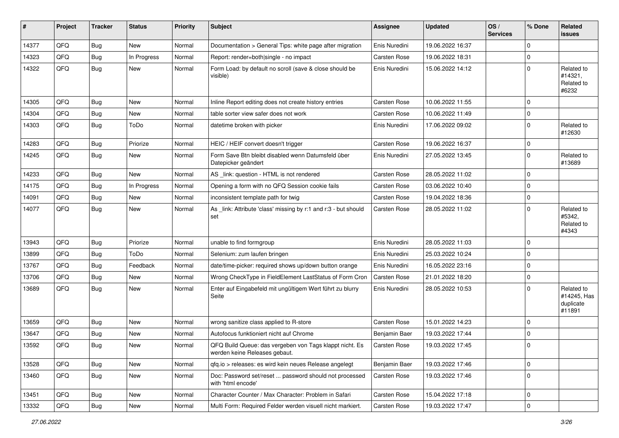| #     | Project | <b>Tracker</b> | <b>Status</b> | <b>Priority</b> | <b>Subject</b>                                                                           | Assignee            | <b>Updated</b>   | OS/<br><b>Services</b> | % Done      | Related<br>issues                                |
|-------|---------|----------------|---------------|-----------------|------------------------------------------------------------------------------------------|---------------------|------------------|------------------------|-------------|--------------------------------------------------|
| 14377 | QFQ     | Bug            | New           | Normal          | Documentation > General Tips: white page after migration                                 | Enis Nuredini       | 19.06.2022 16:37 |                        | $\mathbf 0$ |                                                  |
| 14323 | QFQ     | Bug            | In Progress   | Normal          | Report: render=both single - no impact                                                   | Carsten Rose        | 19.06.2022 18:31 |                        | $\mathbf 0$ |                                                  |
| 14322 | QFQ     | Bug            | New           | Normal          | Form Load: by default no scroll (save & close should be<br>visible)                      | Enis Nuredini       | 15.06.2022 14:12 |                        | $\mathbf 0$ | Related to<br>#14321,<br>Related to<br>#6232     |
| 14305 | QFQ     | Bug            | <b>New</b>    | Normal          | Inline Report editing does not create history entries                                    | <b>Carsten Rose</b> | 10.06.2022 11:55 |                        | $\mathbf 0$ |                                                  |
| 14304 | QFQ     | Bug            | New           | Normal          | table sorter view safer does not work                                                    | <b>Carsten Rose</b> | 10.06.2022 11:49 |                        | $\mathbf 0$ |                                                  |
| 14303 | QFQ     | <b>Bug</b>     | ToDo          | Normal          | datetime broken with picker                                                              | Enis Nuredini       | 17.06.2022 09:02 |                        | $\mathbf 0$ | Related to<br>#12630                             |
| 14283 | QFQ     | Bug            | Priorize      | Normal          | HEIC / HEIF convert doesn't trigger                                                      | Carsten Rose        | 19.06.2022 16:37 |                        | $\mathbf 0$ |                                                  |
| 14245 | QFQ     | <b>Bug</b>     | New           | Normal          | Form Save Btn bleibt disabled wenn Datumsfeld über<br>Datepicker geändert                | Enis Nuredini       | 27.05.2022 13:45 |                        | $\mathbf 0$ | Related to<br>#13689                             |
| 14233 | QFQ     | <b>Bug</b>     | New           | Normal          | AS _link: question - HTML is not rendered                                                | Carsten Rose        | 28.05.2022 11:02 |                        | $\mathbf 0$ |                                                  |
| 14175 | QFQ     | Bug            | In Progress   | Normal          | Opening a form with no QFQ Session cookie fails                                          | Carsten Rose        | 03.06.2022 10:40 |                        | $\mathbf 0$ |                                                  |
| 14091 | QFQ     | Bug            | New           | Normal          | inconsistent template path for twig                                                      | Carsten Rose        | 19.04.2022 18:36 |                        | $\mathbf 0$ |                                                  |
| 14077 | QFQ     | <b>Bug</b>     | <b>New</b>    | Normal          | As link: Attribute 'class' missing by r:1 and r:3 - but should<br>set                    | Carsten Rose        | 28.05.2022 11:02 |                        | $\mathbf 0$ | Related to<br>#5342,<br>Related to<br>#4343      |
| 13943 | QFQ     | Bug            | Priorize      | Normal          | unable to find formgroup                                                                 | Enis Nuredini       | 28.05.2022 11:03 |                        | $\mathbf 0$ |                                                  |
| 13899 | QFQ     | <b>Bug</b>     | ToDo          | Normal          | Selenium: zum laufen bringen                                                             | Enis Nuredini       | 25.03.2022 10:24 |                        | $\mathbf 0$ |                                                  |
| 13767 | QFQ     | <b>Bug</b>     | Feedback      | Normal          | date/time-picker: required shows up/down button orange                                   | Enis Nuredini       | 16.05.2022 23:16 |                        | $\mathbf 0$ |                                                  |
| 13706 | QFQ     | <b>Bug</b>     | New           | Normal          | Wrong CheckType in FieldElement LastStatus of Form Cron                                  | <b>Carsten Rose</b> | 21.01.2022 18:20 |                        | $\mathbf 0$ |                                                  |
| 13689 | QFQ     | Bug            | <b>New</b>    | Normal          | Enter auf Eingabefeld mit ungültigem Wert führt zu blurry<br>Seite                       | Enis Nuredini       | 28.05.2022 10:53 |                        | $\mathbf 0$ | Related to<br>#14245, Has<br>duplicate<br>#11891 |
| 13659 | QFQ     | <b>Bug</b>     | New           | Normal          | wrong sanitize class applied to R-store                                                  | Carsten Rose        | 15.01.2022 14:23 |                        | $\mathbf 0$ |                                                  |
| 13647 | QFQ     | <b>Bug</b>     | <b>New</b>    | Normal          | Autofocus funktioniert nicht auf Chrome                                                  | Benjamin Baer       | 19.03.2022 17:44 |                        | $\mathbf 0$ |                                                  |
| 13592 | QFQ     | <b>Bug</b>     | <b>New</b>    | Normal          | QFQ Build Queue: das vergeben von Tags klappt nicht. Es<br>werden keine Releases gebaut. | <b>Carsten Rose</b> | 19.03.2022 17:45 |                        | $\mathbf 0$ |                                                  |
| 13528 | QFQ     | <b>Bug</b>     | New           | Normal          | qfq.io > releases: es wird kein neues Release angelegt                                   | Benjamin Baer       | 19.03.2022 17:46 |                        | $\mathbf 0$ |                                                  |
| 13460 | QFQ     | Bug            | New           | Normal          | Doc: Password set/reset  password should not processed<br>with 'html encode'             | Carsten Rose        | 19.03.2022 17:46 |                        | $\mathbf 0$ |                                                  |
| 13451 | QFQ     | <b>Bug</b>     | New           | Normal          | Character Counter / Max Character: Problem in Safari                                     | Carsten Rose        | 15.04.2022 17:18 |                        | $\pmb{0}$   |                                                  |
| 13332 | QFQ     | Bug            | New           | Normal          | Multi Form: Required Felder werden visuell nicht markiert.                               | <b>Carsten Rose</b> | 19.03.2022 17:47 |                        | $\mathbf 0$ |                                                  |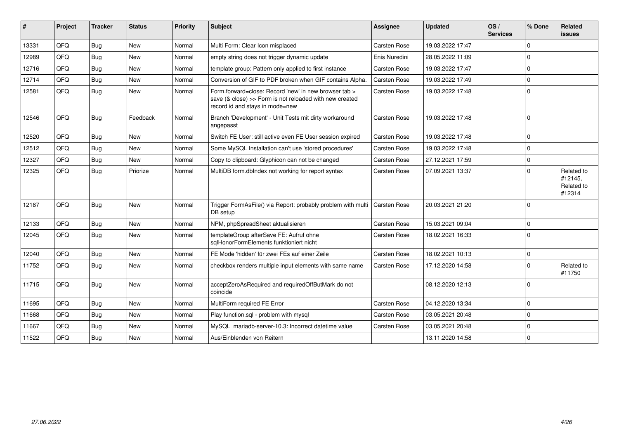| #     | Project    | <b>Tracker</b> | <b>Status</b> | <b>Priority</b> | Subject                                                                                                                                             | Assignee            | <b>Updated</b>   | OS/<br><b>Services</b> | % Done      | Related<br><b>issues</b>                      |
|-------|------------|----------------|---------------|-----------------|-----------------------------------------------------------------------------------------------------------------------------------------------------|---------------------|------------------|------------------------|-------------|-----------------------------------------------|
| 13331 | QFQ        | Bug            | <b>New</b>    | Normal          | Multi Form: Clear Icon misplaced                                                                                                                    | <b>Carsten Rose</b> | 19.03.2022 17:47 |                        | $\Omega$    |                                               |
| 12989 | QFQ        | Bug            | <b>New</b>    | Normal          | empty string does not trigger dynamic update                                                                                                        | Enis Nuredini       | 28.05.2022 11:09 |                        | $\mathbf 0$ |                                               |
| 12716 | QFQ        | Bug            | <b>New</b>    | Normal          | template group: Pattern only applied to first instance                                                                                              | Carsten Rose        | 19.03.2022 17:47 |                        | $\Omega$    |                                               |
| 12714 | <b>OFO</b> | Bug            | <b>New</b>    | Normal          | Conversion of GIF to PDF broken when GIF contains Alpha.                                                                                            | Carsten Rose        | 19.03.2022 17:49 |                        | $\Omega$    |                                               |
| 12581 | QFQ        | Bug            | New           | Normal          | Form.forward=close: Record 'new' in new browser tab ><br>save (& close) >> Form is not reloaded with new created<br>record id and stays in mode=new | <b>Carsten Rose</b> | 19.03.2022 17:48 |                        | $\mathbf 0$ |                                               |
| 12546 | QFQ        | Bug            | Feedback      | Normal          | Branch 'Development' - Unit Tests mit dirty workaround<br>angepasst                                                                                 | <b>Carsten Rose</b> | 19.03.2022 17:48 |                        | $\Omega$    |                                               |
| 12520 | QFQ        | <b>Bug</b>     | <b>New</b>    | Normal          | Switch FE User: still active even FE User session expired                                                                                           | <b>Carsten Rose</b> | 19.03.2022 17:48 |                        | $\Omega$    |                                               |
| 12512 | QFQ        | Bug            | <b>New</b>    | Normal          | Some MySQL Installation can't use 'stored procedures'                                                                                               | <b>Carsten Rose</b> | 19.03.2022 17:48 |                        | $\Omega$    |                                               |
| 12327 | QFQ        | Bug            | <b>New</b>    | Normal          | Copy to clipboard: Glyphicon can not be changed                                                                                                     | Carsten Rose        | 27.12.2021 17:59 |                        | $\Omega$    |                                               |
| 12325 | QFQ        | Bug            | Priorize      | Normal          | MultiDB form.dblndex not working for report syntax                                                                                                  | <b>Carsten Rose</b> | 07.09.2021 13:37 |                        | $\Omega$    | Related to<br>#12145.<br>Related to<br>#12314 |
| 12187 | QFQ        | Bug            | <b>New</b>    | Normal          | Trigger FormAsFile() via Report: probably problem with multi<br>DB setup                                                                            | Carsten Rose        | 20.03.2021 21:20 |                        | $\Omega$    |                                               |
| 12133 | QFQ        | Bug            | <b>New</b>    | Normal          | NPM, phpSpreadSheet aktualisieren                                                                                                                   | Carsten Rose        | 15.03.2021 09:04 |                        | $\Omega$    |                                               |
| 12045 | <b>OFO</b> | Bug            | <b>New</b>    | Normal          | templateGroup afterSave FE: Aufruf ohne<br>sqlHonorFormElements funktioniert nicht                                                                  | Carsten Rose        | 18.02.2021 16:33 |                        | $\Omega$    |                                               |
| 12040 | QFQ        | Bug            | <b>New</b>    | Normal          | FE Mode 'hidden' für zwei FEs auf einer Zeile                                                                                                       | <b>Carsten Rose</b> | 18.02.2021 10:13 |                        | $\mathbf 0$ |                                               |
| 11752 | QFQ        | Bug            | <b>New</b>    | Normal          | checkbox renders multiple input elements with same name                                                                                             | <b>Carsten Rose</b> | 17.12.2020 14:58 |                        | $\Omega$    | Related to<br>#11750                          |
| 11715 | QFQ        | Bug            | <b>New</b>    | Normal          | acceptZeroAsRequired and requiredOffButMark do not<br>coincide                                                                                      |                     | 08.12.2020 12:13 |                        | $\Omega$    |                                               |
| 11695 | QFQ        | <b>Bug</b>     | <b>New</b>    | Normal          | MultiForm required FE Error                                                                                                                         | <b>Carsten Rose</b> | 04.12.2020 13:34 |                        | $\Omega$    |                                               |
| 11668 | QFQ        | Bug            | <b>New</b>    | Normal          | Play function.sql - problem with mysql                                                                                                              | Carsten Rose        | 03.05.2021 20:48 |                        | $\Omega$    |                                               |
| 11667 | QFQ        | Bug            | <b>New</b>    | Normal          | MySQL mariadb-server-10.3: Incorrect datetime value                                                                                                 | Carsten Rose        | 03.05.2021 20:48 |                        | $\mathbf 0$ |                                               |
| 11522 | QFQ        | Bug            | New           | Normal          | Aus/Einblenden von Reitern                                                                                                                          |                     | 13.11.2020 14:58 |                        | $\Omega$    |                                               |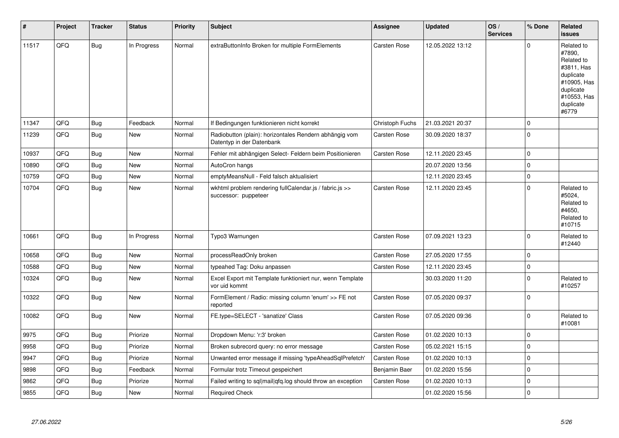| #     | Project | <b>Tracker</b> | <b>Status</b> | <b>Priority</b> | <b>Subject</b>                                                                      | <b>Assignee</b>     | <b>Updated</b>   | OS/<br><b>Services</b> | % Done      | Related<br><b>issues</b>                                                                                                       |
|-------|---------|----------------|---------------|-----------------|-------------------------------------------------------------------------------------|---------------------|------------------|------------------------|-------------|--------------------------------------------------------------------------------------------------------------------------------|
| 11517 | QFQ     | Bug            | In Progress   | Normal          | extraButtonInfo Broken for multiple FormElements                                    | <b>Carsten Rose</b> | 12.05.2022 13:12 |                        | $\Omega$    | Related to<br>#7890.<br>Related to<br>#3811, Has<br>duplicate<br>#10905, Has<br>duplicate<br>#10553, Has<br>duplicate<br>#6779 |
| 11347 | QFQ     | <b>Bug</b>     | Feedback      | Normal          | If Bedingungen funktionieren nicht korrekt                                          | Christoph Fuchs     | 21.03.2021 20:37 |                        | $\mathbf 0$ |                                                                                                                                |
| 11239 | QFQ     | <b>Bug</b>     | <b>New</b>    | Normal          | Radiobutton (plain): horizontales Rendern abhängig vom<br>Datentyp in der Datenbank | <b>Carsten Rose</b> | 30.09.2020 18:37 |                        | $\mathbf 0$ |                                                                                                                                |
| 10937 | QFQ     | <b>Bug</b>     | <b>New</b>    | Normal          | Fehler mit abhängigen Select- Feldern beim Positionieren                            | Carsten Rose        | 12.11.2020 23:45 |                        | $\mathbf 0$ |                                                                                                                                |
| 10890 | QFQ     | Bug            | <b>New</b>    | Normal          | AutoCron hangs                                                                      |                     | 20.07.2020 13:56 |                        | $\mathbf 0$ |                                                                                                                                |
| 10759 | QFQ     | <b>Bug</b>     | <b>New</b>    | Normal          | emptyMeansNull - Feld falsch aktualisiert                                           |                     | 12.11.2020 23:45 |                        | $\mathbf 0$ |                                                                                                                                |
| 10704 | QFQ     | Bug            | New           | Normal          | wkhtml problem rendering fullCalendar.js / fabric.js >><br>successor: puppeteer     | <b>Carsten Rose</b> | 12.11.2020 23:45 |                        | $\Omega$    | Related to<br>#5024,<br>Related to<br>#4650.<br>Related to<br>#10715                                                           |
| 10661 | QFQ     | Bug            | In Progress   | Normal          | Typo3 Warnungen                                                                     | <b>Carsten Rose</b> | 07.09.2021 13:23 |                        | $\Omega$    | Related to<br>#12440                                                                                                           |
| 10658 | QFQ     | Bug            | <b>New</b>    | Normal          | processReadOnly broken                                                              | <b>Carsten Rose</b> | 27.05.2020 17:55 |                        | $\mathbf 0$ |                                                                                                                                |
| 10588 | QFQ     | <b>Bug</b>     | New           | Normal          | typeahed Tag: Doku anpassen                                                         | Carsten Rose        | 12.11.2020 23:45 |                        | $\pmb{0}$   |                                                                                                                                |
| 10324 | QFQ     | <b>Bug</b>     | <b>New</b>    | Normal          | Excel Export mit Template funktioniert nur, wenn Template<br>vor uid kommt          |                     | 30.03.2020 11:20 |                        | $\mathbf 0$ | Related to<br>#10257                                                                                                           |
| 10322 | QFQ     | <b>Bug</b>     | <b>New</b>    | Normal          | FormElement / Radio: missing column 'enum' >> FE not<br>reported                    | <b>Carsten Rose</b> | 07.05.2020 09:37 |                        | $\mathbf 0$ |                                                                                                                                |
| 10082 | QFQ     | Bug            | New           | Normal          | FE.type=SELECT - 'sanatize' Class                                                   | Carsten Rose        | 07.05.2020 09:36 |                        | $\mathbf 0$ | Related to<br>#10081                                                                                                           |
| 9975  | QFQ     | Bug            | Priorize      | Normal          | Dropdown Menu: 'r:3' broken                                                         | <b>Carsten Rose</b> | 01.02.2020 10:13 |                        | $\Omega$    |                                                                                                                                |
| 9958  | QFQ     | <b>Bug</b>     | Priorize      | Normal          | Broken subrecord query: no error message                                            | Carsten Rose        | 05.02.2021 15:15 |                        | $\mathbf 0$ |                                                                                                                                |
| 9947  | QFQ     | <b>Bug</b>     | Priorize      | Normal          | Unwanted error message if missing 'typeAheadSqlPrefetch'                            | <b>Carsten Rose</b> | 01.02.2020 10:13 |                        | $\mathbf 0$ |                                                                                                                                |
| 9898  | QFQ     | <b>Bug</b>     | Feedback      | Normal          | Formular trotz Timeout gespeichert                                                  | Benjamin Baer       | 01.02.2020 15:56 |                        | $\mathbf 0$ |                                                                                                                                |
| 9862  | QFQ     | <b>Bug</b>     | Priorize      | Normal          | Failed writing to sql mail qfq.log should throw an exception                        | Carsten Rose        | 01.02.2020 10:13 |                        | $\mathbf 0$ |                                                                                                                                |
| 9855  | QFQ     | <b>Bug</b>     | <b>New</b>    | Normal          | <b>Required Check</b>                                                               |                     | 01.02.2020 15:56 |                        | $\mathbf 0$ |                                                                                                                                |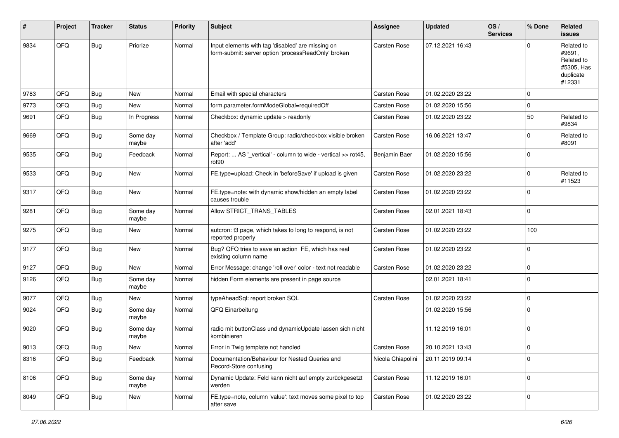| #    | Project | <b>Tracker</b> | <b>Status</b>     | <b>Priority</b> | Subject                                                                                                  | <b>Assignee</b>     | <b>Updated</b>   | OS/<br><b>Services</b> | % Done      | Related<br>issues                                                       |
|------|---------|----------------|-------------------|-----------------|----------------------------------------------------------------------------------------------------------|---------------------|------------------|------------------------|-------------|-------------------------------------------------------------------------|
| 9834 | QFQ     | Bug            | Priorize          | Normal          | Input elements with tag 'disabled' are missing on<br>form-submit: server option 'processReadOnly' broken | Carsten Rose        | 07.12.2021 16:43 |                        | $\Omega$    | Related to<br>#9691.<br>Related to<br>#5305, Has<br>duplicate<br>#12331 |
| 9783 | QFQ     | Bug            | New               | Normal          | Email with special characters                                                                            | Carsten Rose        | 01.02.2020 23:22 |                        | $\mathbf 0$ |                                                                         |
| 9773 | QFQ     | Bug            | New               | Normal          | form.parameter.formModeGlobal=requiredOff                                                                | Carsten Rose        | 01.02.2020 15:56 |                        | $\mathbf 0$ |                                                                         |
| 9691 | QFQ     | Bug            | In Progress       | Normal          | Checkbox: dynamic update > readonly                                                                      | Carsten Rose        | 01.02.2020 23:22 |                        | 50          | Related to<br>#9834                                                     |
| 9669 | QFQ     | Bug            | Some day<br>maybe | Normal          | Checkbox / Template Group: radio/checkbox visible broken<br>after 'add'                                  | Carsten Rose        | 16.06.2021 13:47 |                        | $\Omega$    | Related to<br>#8091                                                     |
| 9535 | QFQ     | Bug            | Feedback          | Normal          | Report:  AS '_vertical' - column to wide - vertical >> rot45,<br>rot <sub>90</sub>                       | Benjamin Baer       | 01.02.2020 15:56 |                        | $\mathbf 0$ |                                                                         |
| 9533 | QFQ     | <b>Bug</b>     | New               | Normal          | FE.type=upload: Check in 'beforeSave' if upload is given                                                 | Carsten Rose        | 01.02.2020 23:22 |                        | $\Omega$    | Related to<br>#11523                                                    |
| 9317 | QFQ     | Bug            | New               | Normal          | FE.type=note: with dynamic show/hidden an empty label<br>causes trouble                                  | Carsten Rose        | 01.02.2020 23:22 |                        | $\mathbf 0$ |                                                                         |
| 9281 | QFQ     | Bug            | Some day<br>maybe | Normal          | Allow STRICT_TRANS_TABLES                                                                                | <b>Carsten Rose</b> | 02.01.2021 18:43 |                        | $\mathbf 0$ |                                                                         |
| 9275 | QFQ     | Bug            | New               | Normal          | autcron: t3 page, which takes to long to respond, is not<br>reported properly                            | Carsten Rose        | 01.02.2020 23:22 |                        | 100         |                                                                         |
| 9177 | QFQ     | Bug            | New               | Normal          | Bug? QFQ tries to save an action FE, which has real<br>existing column name                              | Carsten Rose        | 01.02.2020 23:22 |                        | $\mathbf 0$ |                                                                         |
| 9127 | QFQ     | Bug            | New               | Normal          | Error Message: change 'roll over' color - text not readable                                              | Carsten Rose        | 01.02.2020 23:22 |                        | $\mathbf 0$ |                                                                         |
| 9126 | QFQ     | <b>Bug</b>     | Some day<br>maybe | Normal          | hidden Form elements are present in page source                                                          |                     | 02.01.2021 18:41 |                        | $\Omega$    |                                                                         |
| 9077 | QFQ     | Bug            | New               | Normal          | typeAheadSql: report broken SQL                                                                          | Carsten Rose        | 01.02.2020 23:22 |                        | $\mathbf 0$ |                                                                         |
| 9024 | QFQ     | Bug            | Some day<br>maybe | Normal          | QFQ Einarbeitung                                                                                         |                     | 01.02.2020 15:56 |                        | $\Omega$    |                                                                         |
| 9020 | QFQ     | <b>Bug</b>     | Some day<br>maybe | Normal          | radio mit buttonClass und dynamicUpdate lassen sich nicht<br>kombinieren                                 |                     | 11.12.2019 16:01 |                        | $\mathbf 0$ |                                                                         |
| 9013 | QFQ     | <b>Bug</b>     | New               | Normal          | Error in Twig template not handled                                                                       | Carsten Rose        | 20.10.2021 13:43 |                        | $\mathbf 0$ |                                                                         |
| 8316 | QFQ     | <b>Bug</b>     | Feedback          | Normal          | Documentation/Behaviour for Nested Queries and<br>Record-Store confusing                                 | Nicola Chiapolini   | 20.11.2019 09:14 |                        | $\mathbf 0$ |                                                                         |
| 8106 | QFQ     | <b>Bug</b>     | Some day<br>maybe | Normal          | Dynamic Update: Feld kann nicht auf empty zurückgesetzt<br>werden                                        | Carsten Rose        | 11.12.2019 16:01 |                        | $\mathbf 0$ |                                                                         |
| 8049 | QFQ     | <b>Bug</b>     | New               | Normal          | FE.type=note, column 'value': text moves some pixel to top<br>after save                                 | Carsten Rose        | 01.02.2020 23:22 |                        | $\mathbf 0$ |                                                                         |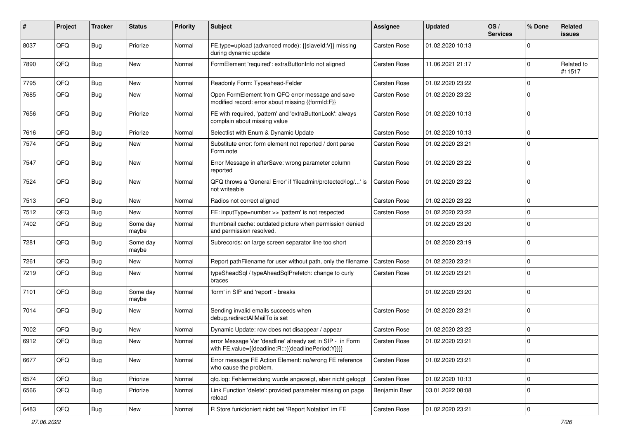| ∦    | Project | <b>Tracker</b> | <b>Status</b>     | <b>Priority</b> | Subject                                                                                                          | <b>Assignee</b>     | <b>Updated</b>   | OS/<br><b>Services</b> | % Done              | Related<br>issues    |
|------|---------|----------------|-------------------|-----------------|------------------------------------------------------------------------------------------------------------------|---------------------|------------------|------------------------|---------------------|----------------------|
| 8037 | QFQ     | Bug            | Priorize          | Normal          | FE.type=upload (advanced mode): {{slaveId:V}} missing<br>during dynamic update                                   | Carsten Rose        | 01.02.2020 10:13 |                        | 0                   |                      |
| 7890 | QFQ     | Bug            | New               | Normal          | FormElement 'required': extraButtonInfo not aligned                                                              | Carsten Rose        | 11.06.2021 21:17 |                        | $\mathbf 0$         | Related to<br>#11517 |
| 7795 | QFQ     | Bug            | <b>New</b>        | Normal          | Readonly Form: Typeahead-Felder                                                                                  | Carsten Rose        | 01.02.2020 23:22 |                        | 0                   |                      |
| 7685 | QFQ     | <b>Bug</b>     | New               | Normal          | Open FormElement from QFQ error message and save<br>modified record: error about missing {{formId:F}}            | <b>Carsten Rose</b> | 01.02.2020 23:22 |                        | $\Omega$            |                      |
| 7656 | QFQ     | Bug            | Priorize          | Normal          | FE with required, 'pattern' and 'extraButtonLock': always<br>complain about missing value                        | Carsten Rose        | 01.02.2020 10:13 |                        | 0                   |                      |
| 7616 | QFQ     | Bug            | Priorize          | Normal          | Selectlist with Enum & Dynamic Update                                                                            | <b>Carsten Rose</b> | 01.02.2020 10:13 |                        | $\mathbf 0$         |                      |
| 7574 | QFQ     | Bug            | New               | Normal          | Substitute error: form element not reported / dont parse<br>Form.note                                            | Carsten Rose        | 01.02.2020 23:21 |                        | 0                   |                      |
| 7547 | QFQ     | Bug            | <b>New</b>        | Normal          | Error Message in afterSave: wrong parameter column<br>reported                                                   | Carsten Rose        | 01.02.2020 23:22 |                        | $\mathbf 0$         |                      |
| 7524 | QFQ     | Bug            | New               | Normal          | QFQ throws a 'General Error' if 'fileadmin/protected/log/' is<br>not writeable                                   | <b>Carsten Rose</b> | 01.02.2020 23:22 |                        | 0                   |                      |
| 7513 | QFQ     | Bug            | <b>New</b>        | Normal          | Radios not correct aligned                                                                                       | <b>Carsten Rose</b> | 01.02.2020 23:22 |                        | $\mathbf 0$         |                      |
| 7512 | QFQ     | <b>Bug</b>     | <b>New</b>        | Normal          | FE: inputType=number >> 'pattern' is not respected                                                               | <b>Carsten Rose</b> | 01.02.2020 23:22 |                        | $\mathbf 0$         |                      |
| 7402 | QFQ     | Bug            | Some day<br>maybe | Normal          | thumbnail cache: outdated picture when permission denied<br>and permission resolved.                             |                     | 01.02.2020 23:20 |                        | $\Omega$            |                      |
| 7281 | QFQ     | Bug            | Some day<br>maybe | Normal          | Subrecords: on large screen separator line too short                                                             |                     | 01.02.2020 23:19 |                        | $\Omega$            |                      |
| 7261 | QFQ     | Bug            | <b>New</b>        | Normal          | Report pathFilename for user without path, only the filename                                                     | <b>Carsten Rose</b> | 01.02.2020 23:21 |                        | 0                   |                      |
| 7219 | QFQ     | Bug            | New               | Normal          | typeSheadSql / typeAheadSqlPrefetch: change to curly<br>braces                                                   | Carsten Rose        | 01.02.2020 23:21 |                        | 0                   |                      |
| 7101 | QFQ     | Bug            | Some day<br>maybe | Normal          | 'form' in SIP and 'report' - breaks                                                                              |                     | 01.02.2020 23:20 |                        | 0                   |                      |
| 7014 | QFQ     | Bug            | New               | Normal          | Sending invalid emails succeeds when<br>debug.redirectAllMailTo is set                                           | <b>Carsten Rose</b> | 01.02.2020 23:21 |                        | $\mathbf 0$         |                      |
| 7002 | QFQ     | Bug            | New               | Normal          | Dynamic Update: row does not disappear / appear                                                                  | Carsten Rose        | 01.02.2020 23:22 |                        | 0                   |                      |
| 6912 | QFQ     | Bug            | New               | Normal          | error Message Var 'deadline' already set in SIP - in Form<br>with FE.value={{deadline:R:::{{deadlinePeriod:Y}}}} | Carsten Rose        | 01.02.2020 23:21 |                        | $\mathbf 0$         |                      |
| 6677 | QFQ     | Bug            | New               | Normal          | Error message FE Action Element: no/wrong FE reference<br>who cause the problem.                                 | Carsten Rose        | 01.02.2020 23:21 |                        | $\mathbf 0$         |                      |
| 6574 | QFQ     | <b>Bug</b>     | Priorize          | Normal          | qfq.log: Fehlermeldung wurde angezeigt, aber nicht geloggt                                                       | Carsten Rose        | 01.02.2020 10:13 |                        | $\mathbf 0$         |                      |
| 6566 | QFQ     | <b>Bug</b>     | Priorize          | Normal          | Link Function 'delete': provided parameter missing on page<br>reload                                             | Benjamin Baer       | 03.01.2022 08:08 |                        | $\mathbf 0$         |                      |
| 6483 | QFQ     | Bug            | New               | Normal          | R Store funktioniert nicht bei 'Report Notation' im FE                                                           | Carsten Rose        | 01.02.2020 23:21 |                        | $\mathsf{O}\xspace$ |                      |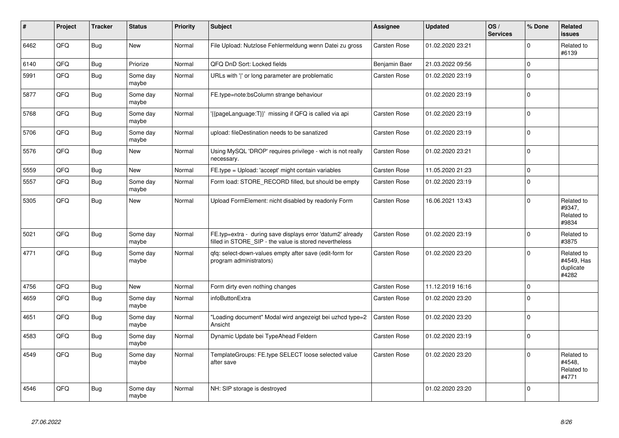| #    | Project | <b>Tracker</b> | <b>Status</b>     | <b>Priority</b> | <b>Subject</b>                                                                                                       | Assignee            | <b>Updated</b>   | OS/<br><b>Services</b> | % Done       | Related<br><b>issues</b>                       |
|------|---------|----------------|-------------------|-----------------|----------------------------------------------------------------------------------------------------------------------|---------------------|------------------|------------------------|--------------|------------------------------------------------|
| 6462 | QFQ     | Bug            | <b>New</b>        | Normal          | File Upload: Nutzlose Fehlermeldung wenn Datei zu gross                                                              | Carsten Rose        | 01.02.2020 23:21 |                        | $\mathbf 0$  | Related to<br>#6139                            |
| 6140 | QFQ     | <b>Bug</b>     | Priorize          | Normal          | QFQ DnD Sort: Locked fields                                                                                          | Benjamin Baer       | 21.03.2022 09:56 |                        | $\mathbf{0}$ |                                                |
| 5991 | QFQ     | Bug            | Some day<br>maybe | Normal          | URLs with 'I' or long parameter are problematic                                                                      | Carsten Rose        | 01.02.2020 23:19 |                        | $\Omega$     |                                                |
| 5877 | QFQ     | <b>Bug</b>     | Some day<br>maybe | Normal          | FE.type=note:bsColumn strange behaviour                                                                              |                     | 01.02.2020 23:19 |                        | $\Omega$     |                                                |
| 5768 | QFQ     | Bug            | Some day<br>maybe | Normal          | '{{pageLanguage:T}}' missing if QFQ is called via api                                                                | Carsten Rose        | 01.02.2020 23:19 |                        | $\mathbf 0$  |                                                |
| 5706 | QFQ     | <b>Bug</b>     | Some day<br>maybe | Normal          | upload: fileDestination needs to be sanatized                                                                        | Carsten Rose        | 01.02.2020 23:19 |                        | $\mathbf 0$  |                                                |
| 5576 | QFQ     | <b>Bug</b>     | New               | Normal          | Using MySQL 'DROP' requires privilege - wich is not really<br>necessary.                                             | Carsten Rose        | 01.02.2020 23:21 |                        | $\pmb{0}$    |                                                |
| 5559 | QFQ     | <b>Bug</b>     | New               | Normal          | FE.type = Upload: 'accept' might contain variables                                                                   | Carsten Rose        | 11.05.2020 21:23 |                        | $\mathbf 0$  |                                                |
| 5557 | QFQ     | Bug            | Some day<br>maybe | Normal          | Form load: STORE RECORD filled, but should be empty                                                                  | <b>Carsten Rose</b> | 01.02.2020 23:19 |                        | $\Omega$     |                                                |
| 5305 | QFQ     | Bug            | <b>New</b>        | Normal          | Upload FormElement: nicht disabled by readonly Form                                                                  | <b>Carsten Rose</b> | 16.06.2021 13:43 |                        | $\Omega$     | Related to<br>#9347,<br>Related to<br>#9834    |
| 5021 | QFQ     | <b>Bug</b>     | Some day<br>maybe | Normal          | FE.typ=extra - during save displays error 'datum2' already<br>filled in STORE_SIP - the value is stored nevertheless | Carsten Rose        | 01.02.2020 23:19 |                        | $\Omega$     | Related to<br>#3875                            |
| 4771 | QFQ     | <b>Bug</b>     | Some day<br>maybe | Normal          | gfg: select-down-values empty after save (edit-form for<br>program administrators)                                   | Carsten Rose        | 01.02.2020 23:20 |                        | $\Omega$     | Related to<br>#4549, Has<br>duplicate<br>#4282 |
| 4756 | QFQ     | <b>Bug</b>     | New               | Normal          | Form dirty even nothing changes                                                                                      | Carsten Rose        | 11.12.2019 16:16 |                        | $\mathbf 0$  |                                                |
| 4659 | QFQ     | Bug            | Some day<br>maybe | Normal          | infoButtonExtra                                                                                                      | <b>Carsten Rose</b> | 01.02.2020 23:20 |                        | $\Omega$     |                                                |
| 4651 | QFQ     | Bug            | Some day<br>maybe | Normal          | 'Loading document" Modal wird angezeigt bei uzhcd type=2<br>Ansicht                                                  | <b>Carsten Rose</b> | 01.02.2020 23:20 |                        | $\mathbf 0$  |                                                |
| 4583 | QFQ     | Bug            | Some day<br>maybe | Normal          | Dynamic Update bei TypeAhead Feldern                                                                                 | <b>Carsten Rose</b> | 01.02.2020 23:19 |                        | $\mathbf 0$  |                                                |
| 4549 | QFQ     | <b>Bug</b>     | Some day<br>maybe | Normal          | TemplateGroups: FE.type SELECT loose selected value<br>after save                                                    | <b>Carsten Rose</b> | 01.02.2020 23:20 |                        | $\mathbf 0$  | Related to<br>#4548.<br>Related to<br>#4771    |
| 4546 | QFQ     | <b>Bug</b>     | Some day<br>maybe | Normal          | NH: SIP storage is destroyed                                                                                         |                     | 01.02.2020 23:20 |                        | $\Omega$     |                                                |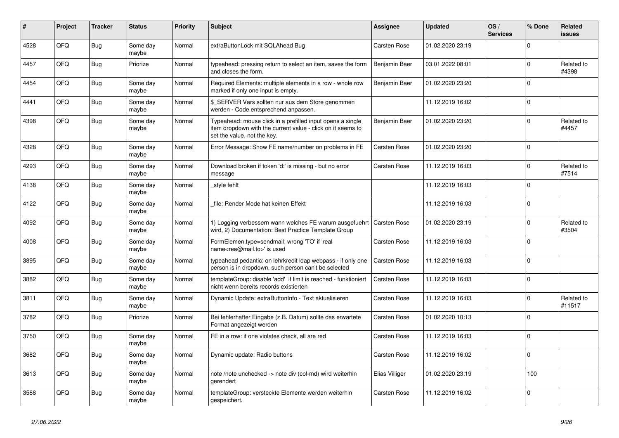| #    | Project | <b>Tracker</b> | <b>Status</b>     | <b>Priority</b> | <b>Subject</b>                                                                                                                                           | Assignee            | <b>Updated</b>   | OS/<br><b>Services</b> | % Done      | Related<br><b>issues</b> |
|------|---------|----------------|-------------------|-----------------|----------------------------------------------------------------------------------------------------------------------------------------------------------|---------------------|------------------|------------------------|-------------|--------------------------|
| 4528 | QFQ     | <b>Bug</b>     | Some day<br>maybe | Normal          | extraButtonLock mit SQLAhead Bug                                                                                                                         | <b>Carsten Rose</b> | 01.02.2020 23:19 |                        | $\Omega$    |                          |
| 4457 | QFQ     | <b>Bug</b>     | Priorize          | Normal          | typeahead: pressing return to select an item, saves the form<br>and closes the form.                                                                     | Benjamin Baer       | 03.01.2022 08:01 |                        | $\mathbf 0$ | Related to<br>#4398      |
| 4454 | QFQ     | Bug            | Some day<br>maybe | Normal          | Required Elements: multiple elements in a row - whole row<br>marked if only one input is empty.                                                          | Benjamin Baer       | 01.02.2020 23:20 |                        | $\Omega$    |                          |
| 4441 | QFQ     | Bug            | Some day<br>maybe | Normal          | \$_SERVER Vars sollten nur aus dem Store genommen<br>werden - Code entsprechend anpassen.                                                                |                     | 11.12.2019 16:02 |                        | $\mathbf 0$ |                          |
| 4398 | QFQ     | <b>Bug</b>     | Some day<br>maybe | Normal          | Typeahead: mouse click in a prefilled input opens a single<br>item dropdown with the current value - click on it seems to<br>set the value, not the key. | Benjamin Baer       | 01.02.2020 23:20 |                        | $\mathbf 0$ | Related to<br>#4457      |
| 4328 | QFQ     | Bug            | Some day<br>maybe | Normal          | Error Message: Show FE name/number on problems in FE                                                                                                     | <b>Carsten Rose</b> | 01.02.2020 23:20 |                        | $\Omega$    |                          |
| 4293 | QFQ     | Bug            | Some day<br>maybe | Normal          | Download broken if token 'd:' is missing - but no error<br>message                                                                                       | Carsten Rose        | 11.12.2019 16:03 |                        | $\mathbf 0$ | Related to<br>#7514      |
| 4138 | QFQ     | Bug            | Some day<br>maybe | Normal          | style fehlt                                                                                                                                              |                     | 11.12.2019 16:03 |                        | $\mathbf 0$ |                          |
| 4122 | QFQ     | <b>Bug</b>     | Some day<br>maybe | Normal          | file: Render Mode hat keinen Effekt                                                                                                                      |                     | 11.12.2019 16:03 |                        | $\Omega$    |                          |
| 4092 | QFQ     | <b>Bug</b>     | Some day<br>maybe | Normal          | 1) Logging verbessern wann welches FE warum ausgefuehrt<br>wird, 2) Documentation: Best Practice Template Group                                          | <b>Carsten Rose</b> | 01.02.2020 23:19 |                        | $\mathbf 0$ | Related to<br>#3504      |
| 4008 | QFQ     | Bug            | Some day<br>maybe | Normal          | FormElemen.type=sendmail: wrong 'TO' if 'real<br>name <rea@mail.to>' is used</rea@mail.to>                                                               | Carsten Rose        | 11.12.2019 16:03 |                        | $\Omega$    |                          |
| 3895 | QFQ     | <b>Bug</b>     | Some day<br>maybe | Normal          | typeahead pedantic: on lehrkredit Idap webpass - if only one<br>person is in dropdown, such person can't be selected                                     | <b>Carsten Rose</b> | 11.12.2019 16:03 |                        | $\mathbf 0$ |                          |
| 3882 | QFQ     | Bug            | Some day<br>maybe | Normal          | templateGroup: disable 'add' if limit is reached - funktioniert<br>nicht wenn bereits records existierten                                                | Carsten Rose        | 11.12.2019 16:03 |                        | $\Omega$    |                          |
| 3811 | QFQ     | Bug            | Some day<br>maybe | Normal          | Dynamic Update: extraButtonInfo - Text aktualisieren                                                                                                     | <b>Carsten Rose</b> | 11.12.2019 16:03 |                        | $\Omega$    | Related to<br>#11517     |
| 3782 | QFQ     | Bug            | Priorize          | Normal          | Bei fehlerhafter Eingabe (z.B. Datum) sollte das erwartete<br>Format angezeigt werden                                                                    | Carsten Rose        | 01.02.2020 10:13 |                        | $\mathbf 0$ |                          |
| 3750 | QFQ     | Bug            | Some day<br>maybe | Normal          | FE in a row: if one violates check, all are red                                                                                                          | <b>Carsten Rose</b> | 11.12.2019 16:03 |                        | $\mathbf 0$ |                          |
| 3682 | QFQ     | <b>Bug</b>     | Some day<br>maybe | Normal          | Dynamic update: Radio buttons                                                                                                                            | Carsten Rose        | 11.12.2019 16:02 |                        | $\Omega$    |                          |
| 3613 | QFQ     | Bug            | Some day<br>maybe | Normal          | note /note unchecked -> note div (col-md) wird weiterhin<br>gerendert                                                                                    | Elias Villiger      | 01.02.2020 23:19 |                        | 100         |                          |
| 3588 | QFQ     | Bug            | Some day<br>maybe | Normal          | templateGroup: versteckte Elemente werden weiterhin<br>gespeichert.                                                                                      | Carsten Rose        | 11.12.2019 16:02 |                        | $\mathbf 0$ |                          |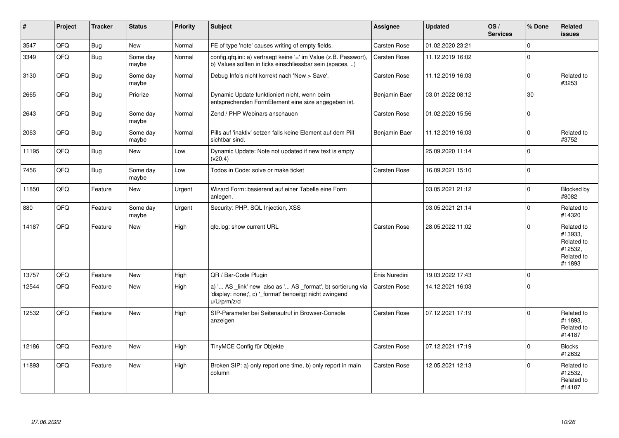| #     | Project | <b>Tracker</b> | <b>Status</b>     | <b>Priority</b> | <b>Subject</b>                                                                                                                        | Assignee            | <b>Updated</b>   | OS/<br><b>Services</b> | % Done       | Related<br><b>issues</b>                                               |
|-------|---------|----------------|-------------------|-----------------|---------------------------------------------------------------------------------------------------------------------------------------|---------------------|------------------|------------------------|--------------|------------------------------------------------------------------------|
| 3547  | QFQ     | Bug            | New               | Normal          | FE of type 'note' causes writing of empty fields.                                                                                     | Carsten Rose        | 01.02.2020 23:21 |                        | $\mathbf 0$  |                                                                        |
| 3349  | QFQ     | <b>Bug</b>     | Some day<br>maybe | Normal          | config.qfq.ini: a) vertraegt keine '=' im Value (z.B. Passwort),<br>b) Values sollten in ticks einschliessbar sein (spaces, )         | <b>Carsten Rose</b> | 11.12.2019 16:02 |                        | $\mathbf 0$  |                                                                        |
| 3130  | QFQ     | Bug            | Some day<br>maybe | Normal          | Debug Info's nicht korrekt nach 'New > Save'.                                                                                         | <b>Carsten Rose</b> | 11.12.2019 16:03 |                        | $\mathbf{0}$ | Related to<br>#3253                                                    |
| 2665  | QFQ     | Bug            | Priorize          | Normal          | Dynamic Update funktioniert nicht, wenn beim<br>entsprechenden FormElement eine size angegeben ist.                                   | Benjamin Baer       | 03.01.2022 08:12 |                        | 30           |                                                                        |
| 2643  | QFQ     | Bug            | Some day<br>maybe | Normal          | Zend / PHP Webinars anschauen                                                                                                         | <b>Carsten Rose</b> | 01.02.2020 15:56 |                        | $\mathbf 0$  |                                                                        |
| 2063  | QFQ     | Bug            | Some day<br>maybe | Normal          | Pills auf 'inaktiv' setzen falls keine Element auf dem Pill<br>sichtbar sind.                                                         | Benjamin Baer       | 11.12.2019 16:03 |                        | $\mathbf 0$  | Related to<br>#3752                                                    |
| 11195 | QFQ     | Bug            | <b>New</b>        | Low             | Dynamic Update: Note not updated if new text is empty<br>(v20.4)                                                                      |                     | 25.09.2020 11:14 |                        | $\mathbf 0$  |                                                                        |
| 7456  | QFQ     | Bug            | Some day<br>maybe | Low             | Todos in Code: solve or make ticket                                                                                                   | Carsten Rose        | 16.09.2021 15:10 |                        | $\mathbf 0$  |                                                                        |
| 11850 | QFQ     | Feature        | <b>New</b>        | Urgent          | Wizard Form: basierend auf einer Tabelle eine Form<br>anlegen.                                                                        |                     | 03.05.2021 21:12 |                        | $\mathbf 0$  | Blocked by<br>#8082                                                    |
| 880   | QFQ     | Feature        | Some day<br>maybe | Urgent          | Security: PHP, SQL Injection, XSS                                                                                                     |                     | 03.05.2021 21:14 |                        | $\mathbf 0$  | Related to<br>#14320                                                   |
| 14187 | QFQ     | Feature        | <b>New</b>        | High            | qfq.log: show current URL                                                                                                             | <b>Carsten Rose</b> | 28.05.2022 11:02 |                        | $\Omega$     | Related to<br>#13933,<br>Related to<br>#12532.<br>Related to<br>#11893 |
| 13757 | QFQ     | Feature        | <b>New</b>        | High            | QR / Bar-Code Plugin                                                                                                                  | Enis Nuredini       | 19.03.2022 17:43 |                        | $\mathbf 0$  |                                                                        |
| 12544 | QFQ     | Feature        | <b>New</b>        | High            | a) ' AS _link' new also as ' AS _format', b) sortierung via<br>'display: none;', c) ' format' benoeitgt nicht zwingend<br>u/U/p/m/z/d | Carsten Rose        | 14.12.2021 16:03 |                        | $\mathbf 0$  |                                                                        |
| 12532 | QFQ     | Feature        | <b>New</b>        | High            | SIP-Parameter bei Seitenaufruf in Browser-Console<br>anzeigen                                                                         | Carsten Rose        | 07.12.2021 17:19 |                        | $\mathbf 0$  | Related to<br>#11893,<br>Related to<br>#14187                          |
| 12186 | QFQ     | Feature        | <b>New</b>        | High            | TinyMCE Config für Objekte                                                                                                            | Carsten Rose        | 07.12.2021 17:19 |                        | $\mathbf 0$  | <b>Blocks</b><br>#12632                                                |
| 11893 | QFQ     | Feature        | <b>New</b>        | High            | Broken SIP: a) only report one time, b) only report in main<br>column                                                                 | Carsten Rose        | 12.05.2021 12:13 |                        | $\mathbf 0$  | Related to<br>#12532.<br>Related to<br>#14187                          |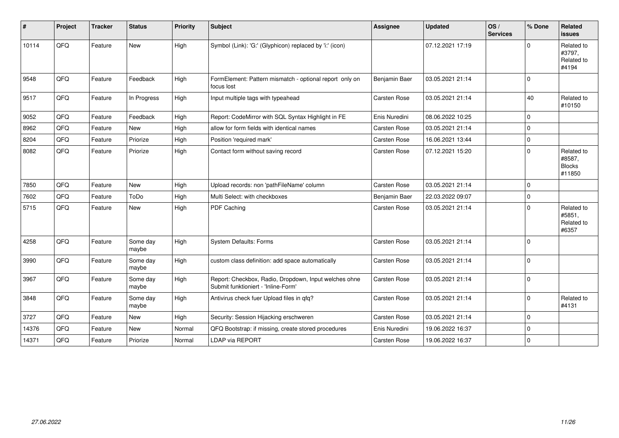| $\vert$ # | Project | <b>Tracker</b> | <b>Status</b>     | <b>Priority</b> | <b>Subject</b>                                                                               | <b>Assignee</b>     | <b>Updated</b>   | OS/<br><b>Services</b> | % Done      | Related<br>issues                               |
|-----------|---------|----------------|-------------------|-----------------|----------------------------------------------------------------------------------------------|---------------------|------------------|------------------------|-------------|-------------------------------------------------|
| 10114     | QFQ     | Feature        | <b>New</b>        | High            | Symbol (Link): 'G:' (Glyphicon) replaced by 'i:' (icon)                                      |                     | 07.12.2021 17:19 |                        | $\Omega$    | Related to<br>#3797,<br>Related to<br>#4194     |
| 9548      | QFQ     | Feature        | Feedback          | High            | FormElement: Pattern mismatch - optional report only on<br>focus lost                        | Benjamin Baer       | 03.05.2021 21:14 |                        | $\Omega$    |                                                 |
| 9517      | QFQ     | Feature        | In Progress       | High            | Input multiple tags with typeahead                                                           | Carsten Rose        | 03.05.2021 21:14 |                        | 40          | Related to<br>#10150                            |
| 9052      | QFQ     | Feature        | Feedback          | High            | Report: CodeMirror with SQL Syntax Highlight in FE                                           | Enis Nuredini       | 08.06.2022 10:25 |                        | $\Omega$    |                                                 |
| 8962      | QFQ     | Feature        | <b>New</b>        | High            | allow for form fields with identical names                                                   | Carsten Rose        | 03.05.2021 21:14 |                        | $\Omega$    |                                                 |
| 8204      | QFQ     | Feature        | Priorize          | High            | Position 'required mark'                                                                     | <b>Carsten Rose</b> | 16.06.2021 13:44 |                        | $\mathbf 0$ |                                                 |
| 8082      | QFQ     | Feature        | Priorize          | High            | Contact form without saving record                                                           | Carsten Rose        | 07.12.2021 15:20 |                        | $\Omega$    | Related to<br>#8587,<br><b>Blocks</b><br>#11850 |
| 7850      | QFQ     | Feature        | New               | High            | Upload records: non 'pathFileName' column                                                    | Carsten Rose        | 03.05.2021 21:14 |                        | $\Omega$    |                                                 |
| 7602      | QFQ     | Feature        | ToDo              | High            | Multi Select: with checkboxes                                                                | Benjamin Baer       | 22.03.2022 09:07 |                        | $\Omega$    |                                                 |
| 5715      | QFQ     | Feature        | New               | High            | PDF Caching                                                                                  | Carsten Rose        | 03.05.2021 21:14 |                        | $\Omega$    | Related to<br>#5851,<br>Related to<br>#6357     |
| 4258      | QFQ     | Feature        | Some day<br>maybe | High            | <b>System Defaults: Forms</b>                                                                | Carsten Rose        | 03.05.2021 21:14 |                        | $\Omega$    |                                                 |
| 3990      | QFQ     | Feature        | Some day<br>maybe | High            | custom class definition: add space automatically                                             | Carsten Rose        | 03.05.2021 21:14 |                        | $\Omega$    |                                                 |
| 3967      | QFQ     | Feature        | Some day<br>maybe | High            | Report: Checkbox, Radio, Dropdown, Input welches ohne<br>Submit funktioniert - 'Inline-Form' | Carsten Rose        | 03.05.2021 21:14 |                        | $\Omega$    |                                                 |
| 3848      | QFQ     | Feature        | Some day<br>maybe | High            | Antivirus check fuer Upload files in qfq?                                                    | Carsten Rose        | 03.05.2021 21:14 |                        | $\mathbf 0$ | Related to<br>#4131                             |
| 3727      | QFQ     | Feature        | <b>New</b>        | High            | Security: Session Hijacking erschweren                                                       | Carsten Rose        | 03.05.2021 21:14 |                        | $\Omega$    |                                                 |
| 14376     | QFQ     | Feature        | <b>New</b>        | Normal          | QFQ Bootstrap: if missing, create stored procedures                                          | Enis Nuredini       | 19.06.2022 16:37 |                        | $\Omega$    |                                                 |
| 14371     | QFQ     | Feature        | Priorize          | Normal          | LDAP via REPORT                                                                              | <b>Carsten Rose</b> | 19.06.2022 16:37 |                        | $\Omega$    |                                                 |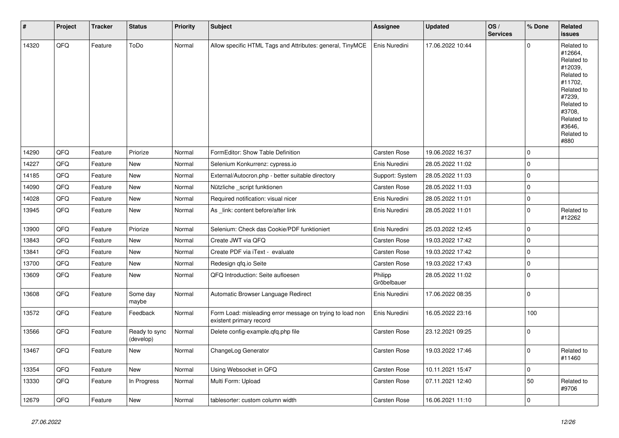| $\vert$ # | Project | <b>Tracker</b> | <b>Status</b>              | <b>Priority</b> | <b>Subject</b>                                                                       | <b>Assignee</b>        | <b>Updated</b>   | OS/<br><b>Services</b> | % Done      | <b>Related</b><br><b>issues</b>                                                                                                                                       |
|-----------|---------|----------------|----------------------------|-----------------|--------------------------------------------------------------------------------------|------------------------|------------------|------------------------|-------------|-----------------------------------------------------------------------------------------------------------------------------------------------------------------------|
| 14320     | QFQ     | Feature        | ToDo                       | Normal          | Allow specific HTML Tags and Attributes: general, TinyMCE                            | Enis Nuredini          | 17.06.2022 10:44 |                        | $\mathbf 0$ | Related to<br>#12664,<br>Related to<br>#12039,<br>Related to<br>#11702,<br>Related to<br>#7239,<br>Related to<br>#3708,<br>Related to<br>#3646.<br>Related to<br>#880 |
| 14290     | QFQ     | Feature        | Priorize                   | Normal          | FormEditor: Show Table Definition                                                    | <b>Carsten Rose</b>    | 19.06.2022 16:37 |                        | $\mathbf 0$ |                                                                                                                                                                       |
| 14227     | QFQ     | Feature        | New                        | Normal          | Selenium Konkurrenz: cypress.io                                                      | Enis Nuredini          | 28.05.2022 11:02 |                        | $\mathsf 0$ |                                                                                                                                                                       |
| 14185     | QFQ     | Feature        | New                        | Normal          | External/Autocron.php - better suitable directory                                    | Support: System        | 28.05.2022 11:03 |                        | $\mathsf 0$ |                                                                                                                                                                       |
| 14090     | QFQ     | Feature        | New                        | Normal          | Nützliche _script funktionen                                                         | <b>Carsten Rose</b>    | 28.05.2022 11:03 |                        | $\mathsf 0$ |                                                                                                                                                                       |
| 14028     | QFQ     | Feature        | <b>New</b>                 | Normal          | Required notification: visual nicer                                                  | Enis Nuredini          | 28.05.2022 11:01 |                        | $\mathsf 0$ |                                                                                                                                                                       |
| 13945     | QFQ     | Feature        | New                        | Normal          | As link: content before/after link                                                   | Enis Nuredini          | 28.05.2022 11:01 |                        | $\mathbf 0$ | Related to<br>#12262                                                                                                                                                  |
| 13900     | QFQ     | Feature        | Priorize                   | Normal          | Selenium: Check das Cookie/PDF funktioniert                                          | Enis Nuredini          | 25.03.2022 12:45 |                        | $\mathbf 0$ |                                                                                                                                                                       |
| 13843     | QFQ     | Feature        | New                        | Normal          | Create JWT via QFQ                                                                   | Carsten Rose           | 19.03.2022 17:42 |                        | $\mathbf 0$ |                                                                                                                                                                       |
| 13841     | QFQ     | Feature        | New                        | Normal          | Create PDF via iText - evaluate                                                      | Carsten Rose           | 19.03.2022 17:42 |                        | $\mathbf 0$ |                                                                                                                                                                       |
| 13700     | QFQ     | Feature        | New                        | Normal          | Redesign qfq.io Seite                                                                | Carsten Rose           | 19.03.2022 17:43 |                        | $\mathsf 0$ |                                                                                                                                                                       |
| 13609     | QFQ     | Feature        | New                        | Normal          | QFQ Introduction: Seite aufloesen                                                    | Philipp<br>Gröbelbauer | 28.05.2022 11:02 |                        | $\mathbf 0$ |                                                                                                                                                                       |
| 13608     | QFQ     | Feature        | Some day<br>maybe          | Normal          | Automatic Browser Language Redirect                                                  | Enis Nuredini          | 17.06.2022 08:35 |                        | $\mathbf 0$ |                                                                                                                                                                       |
| 13572     | QFQ     | Feature        | Feedback                   | Normal          | Form Load: misleading error message on trying to load non<br>existent primary record | Enis Nuredini          | 16.05.2022 23:16 |                        | 100         |                                                                                                                                                                       |
| 13566     | QFQ     | Feature        | Ready to sync<br>(develop) | Normal          | Delete config-example.qfq.php file                                                   | Carsten Rose           | 23.12.2021 09:25 |                        | $\mathbf 0$ |                                                                                                                                                                       |
| 13467     | QFQ     | Feature        | <b>New</b>                 | Normal          | ChangeLog Generator                                                                  | Carsten Rose           | 19.03.2022 17:46 |                        | $\mathbf 0$ | Related to<br>#11460                                                                                                                                                  |
| 13354     | QFQ     | Feature        | <b>New</b>                 | Normal          | Using Websocket in QFQ                                                               | <b>Carsten Rose</b>    | 10.11.2021 15:47 |                        | $\mathsf 0$ |                                                                                                                                                                       |
| 13330     | QFQ     | Feature        | In Progress                | Normal          | Multi Form: Upload                                                                   | Carsten Rose           | 07.11.2021 12:40 |                        | 50          | Related to<br>#9706                                                                                                                                                   |
| 12679     | QFQ     | Feature        | New                        | Normal          | tablesorter: custom column width                                                     | <b>Carsten Rose</b>    | 16.06.2021 11:10 |                        | $\mathbf 0$ |                                                                                                                                                                       |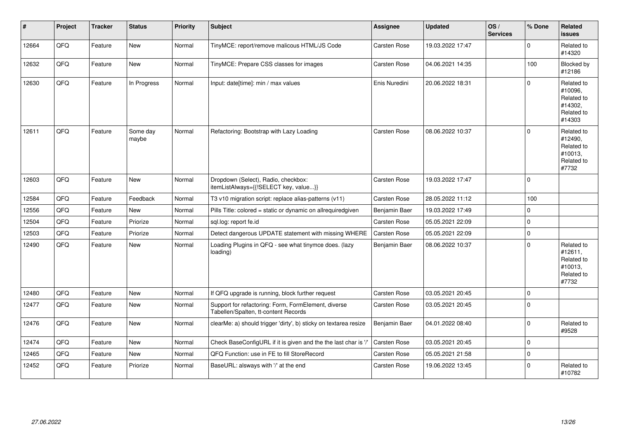| #     | Project | <b>Tracker</b> | <b>Status</b>     | <b>Priority</b> | <b>Subject</b>                                                                              | Assignee            | <b>Updated</b>   | OS/<br><b>Services</b> | % Done      | Related<br><b>issues</b>                                               |
|-------|---------|----------------|-------------------|-----------------|---------------------------------------------------------------------------------------------|---------------------|------------------|------------------------|-------------|------------------------------------------------------------------------|
| 12664 | QFQ     | Feature        | <b>New</b>        | Normal          | TinyMCE: report/remove malicous HTML/JS Code                                                | Carsten Rose        | 19.03.2022 17:47 |                        | $\Omega$    | Related to<br>#14320                                                   |
| 12632 | QFQ     | Feature        | New               | Normal          | TinyMCE: Prepare CSS classes for images                                                     | <b>Carsten Rose</b> | 04.06.2021 14:35 |                        | 100         | Blocked by<br>#12186                                                   |
| 12630 | QFQ     | Feature        | In Progress       | Normal          | Input: date[time]: min / max values                                                         | Enis Nuredini       | 20.06.2022 18:31 |                        | $\Omega$    | Related to<br>#10096,<br>Related to<br>#14302.<br>Related to<br>#14303 |
| 12611 | QFQ     | Feature        | Some day<br>maybe | Normal          | Refactoring: Bootstrap with Lazy Loading                                                    | Carsten Rose        | 08.06.2022 10:37 |                        | $\Omega$    | Related to<br>#12490,<br>Related to<br>#10013,<br>Related to<br>#7732  |
| 12603 | QFQ     | Feature        | New               | Normal          | Dropdown (Select), Radio, checkbox:<br>itemListAlways={{!SELECT key, value}}                | Carsten Rose        | 19.03.2022 17:47 |                        | $\Omega$    |                                                                        |
| 12584 | QFQ     | Feature        | Feedback          | Normal          | T3 v10 migration script: replace alias-patterns (v11)                                       | <b>Carsten Rose</b> | 28.05.2022 11:12 |                        | 100         |                                                                        |
| 12556 | QFQ     | Feature        | <b>New</b>        | Normal          | Pills Title: colored = static or dynamic on allrequiredgiven                                | Benjamin Baer       | 19.03.2022 17:49 |                        | $\mathbf 0$ |                                                                        |
| 12504 | QFQ     | Feature        | Priorize          | Normal          | sql.log: report fe.id                                                                       | Carsten Rose        | 05.05.2021 22:09 |                        | $\mathbf 0$ |                                                                        |
| 12503 | QFQ     | Feature        | Priorize          | Normal          | Detect dangerous UPDATE statement with missing WHERE                                        | Carsten Rose        | 05.05.2021 22:09 |                        | $\mathbf 0$ |                                                                        |
| 12490 | QFQ     | Feature        | New               | Normal          | Loading Plugins in QFQ - see what tinymce does. (lazy<br>loading)                           | Benjamin Baer       | 08.06.2022 10:37 |                        | $\Omega$    | Related to<br>#12611,<br>Related to<br>#10013,<br>Related to<br>#7732  |
| 12480 | QFQ     | Feature        | <b>New</b>        | Normal          | If QFQ upgrade is running, block further request                                            | <b>Carsten Rose</b> | 03.05.2021 20:45 |                        | $\mathbf 0$ |                                                                        |
| 12477 | QFQ     | Feature        | New               | Normal          | Support for refactoring: Form, FormElement, diverse<br>Tabellen/Spalten, tt-content Records | Carsten Rose        | 03.05.2021 20:45 |                        | $\Omega$    |                                                                        |
| 12476 | QFQ     | Feature        | New               | Normal          | clearMe: a) should trigger 'dirty', b) sticky on textarea resize                            | Benjamin Baer       | 04.01.2022 08:40 |                        | $\Omega$    | Related to<br>#9528                                                    |
| 12474 | QFQ     | Feature        | <b>New</b>        | Normal          | Check BaseConfigURL if it is given and the the last char is '/'                             | <b>Carsten Rose</b> | 03.05.2021 20:45 |                        | $\Omega$    |                                                                        |
| 12465 | QFQ     | Feature        | New               | Normal          | QFQ Function: use in FE to fill StoreRecord                                                 | <b>Carsten Rose</b> | 05.05.2021 21:58 |                        | $\mathbf 0$ |                                                                        |
| 12452 | QFQ     | Feature        | Priorize          | Normal          | BaseURL: alsways with '/' at the end                                                        | <b>Carsten Rose</b> | 19.06.2022 13:45 |                        | $\Omega$    | Related to<br>#10782                                                   |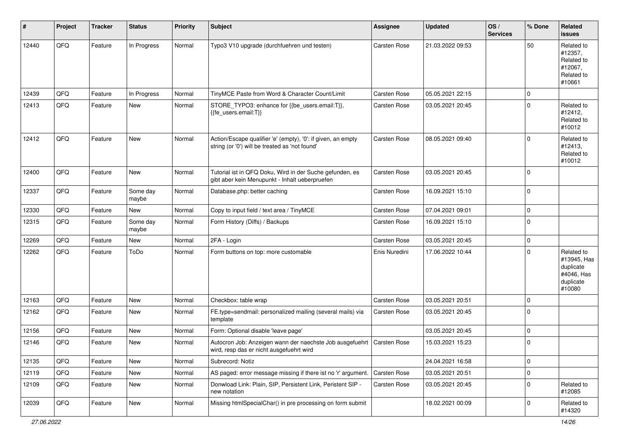| #     | Project | <b>Tracker</b> | <b>Status</b>     | <b>Priority</b> | <b>Subject</b>                                                                                                      | Assignee      | <b>Updated</b>   | OS/<br><b>Services</b> | % Done      | Related<br>issues                                                           |
|-------|---------|----------------|-------------------|-----------------|---------------------------------------------------------------------------------------------------------------------|---------------|------------------|------------------------|-------------|-----------------------------------------------------------------------------|
| 12440 | QFQ     | Feature        | In Progress       | Normal          | Typo3 V10 upgrade (durchfuehren und testen)                                                                         | Carsten Rose  | 21.03.2022 09:53 |                        | 50          | Related to<br>#12357,<br>Related to<br>#12067,<br>Related to<br>#10661      |
| 12439 | QFQ     | Feature        | In Progress       | Normal          | TinyMCE Paste from Word & Character Count/Limit                                                                     | Carsten Rose  | 05.05.2021 22:15 |                        | 0           |                                                                             |
| 12413 | QFQ     | Feature        | New               | Normal          | STORE_TYPO3: enhance for {{be_users.email:T}},<br>{{fe_users.email:T}}                                              | Carsten Rose  | 03.05.2021 20:45 |                        | $\mathbf 0$ | Related to<br>#12412,<br>Related to<br>#10012                               |
| 12412 | QFQ     | Feature        | New               | Normal          | Action/Escape qualifier 'e' (empty), '0': if given, an empty<br>string (or '0') will be treated as 'not found'      | Carsten Rose  | 08.05.2021 09:40 |                        | $\Omega$    | Related to<br>#12413,<br>Related to<br>#10012                               |
| 12400 | QFQ     | Feature        | <b>New</b>        | Normal          | Tutorial ist in QFQ Doku, Wird in der Suche gefunden, es<br>gibt aber kein Menupunkt - Inhalt ueberpruefen          | Carsten Rose  | 03.05.2021 20:45 |                        | $\Omega$    |                                                                             |
| 12337 | QFQ     | Feature        | Some day<br>maybe | Normal          | Database.php: better caching                                                                                        | Carsten Rose  | 16.09.2021 15:10 |                        | $\Omega$    |                                                                             |
| 12330 | QFQ     | Feature        | New               | Normal          | Copy to input field / text area / TinyMCE                                                                           | Carsten Rose  | 07.04.2021 09:01 |                        | $\mathbf 0$ |                                                                             |
| 12315 | QFQ     | Feature        | Some day<br>maybe | Normal          | Form History (Diffs) / Backups                                                                                      | Carsten Rose  | 16.09.2021 15:10 |                        | $\Omega$    |                                                                             |
| 12269 | QFQ     | Feature        | <b>New</b>        | Normal          | 2FA - Login                                                                                                         | Carsten Rose  | 03.05.2021 20:45 |                        | 0           |                                                                             |
| 12262 | QFQ     | Feature        | ToDo              | Normal          | Form buttons on top: more customable                                                                                | Enis Nuredini | 17.06.2022 10:44 |                        | $\Omega$    | Related to<br>#13945, Has<br>duplicate<br>#4046, Has<br>duplicate<br>#10080 |
| 12163 | QFQ     | Feature        | <b>New</b>        | Normal          | Checkbox: table wrap                                                                                                | Carsten Rose  | 03.05.2021 20:51 |                        | $\mathbf 0$ |                                                                             |
| 12162 | QFQ     | Feature        | New               | Normal          | FE.type=sendmail: personalized mailing (several mails) via<br>template                                              | Carsten Rose  | 03.05.2021 20:45 |                        | $\Omega$    |                                                                             |
| 12156 | QFQ     | Feature        | <b>New</b>        | Normal          | Form: Optional disable 'leave page'                                                                                 |               | 03.05.2021 20:45 |                        | 0           |                                                                             |
| 12146 | QFQ     | Feature        | New               | Normal          | Autocron Job: Anzeigen wann der naechste Job ausgefuehrt   Carsten Rose<br>wird, resp das er nicht ausgefuehrt wird |               | 15.03.2021 15:23 |                        | 0           |                                                                             |
| 12135 | QFQ     | Feature        | New               | Normal          | Subrecord: Notiz                                                                                                    |               | 24.04.2021 16:58 |                        | 0           |                                                                             |
| 12119 | QFQ     | Feature        | New               | Normal          | AS paged: error message missing if there ist no 'r' argument.                                                       | Carsten Rose  | 03.05.2021 20:51 |                        | 0           |                                                                             |
| 12109 | QFQ     | Feature        | New               | Normal          | Donwload Link: Plain, SIP, Persistent Link, Peristent SIP -<br>new notation                                         | Carsten Rose  | 03.05.2021 20:45 |                        | 0           | Related to<br>#12085                                                        |
| 12039 | QFQ     | Feature        | New               | Normal          | Missing htmlSpecialChar() in pre processing on form submit                                                          |               | 18.02.2021 00:09 |                        | 0           | Related to<br>#14320                                                        |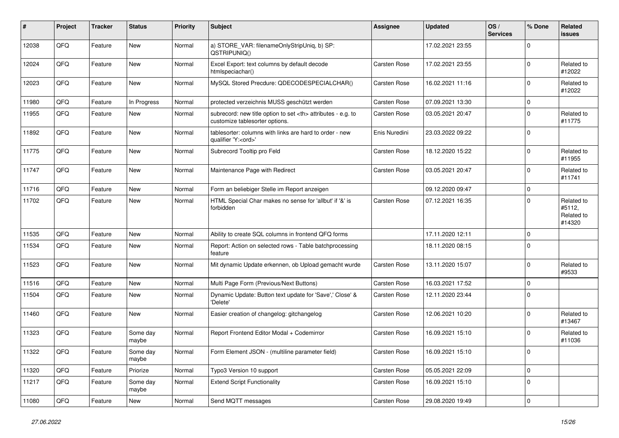| #     | Project | <b>Tracker</b> | <b>Status</b>     | <b>Priority</b> | Subject                                                                                              | Assignee                                               | <b>Updated</b>   | OS/<br><b>Services</b> | % Done      | <b>Related</b><br>issues                     |                      |
|-------|---------|----------------|-------------------|-----------------|------------------------------------------------------------------------------------------------------|--------------------------------------------------------|------------------|------------------------|-------------|----------------------------------------------|----------------------|
| 12038 | QFQ     | Feature        | New               | Normal          | a) STORE_VAR: filenameOnlyStripUniq, b) SP:<br>QSTRIPUNIQ()                                          |                                                        | 17.02.2021 23:55 |                        | $\Omega$    |                                              |                      |
| 12024 | QFQ     | Feature        | New               | Normal          | Excel Export: text columns by default decode<br>htmlspeciachar()                                     | Carsten Rose                                           | 17.02.2021 23:55 |                        | $\mathbf 0$ | Related to<br>#12022                         |                      |
| 12023 | QFQ     | Feature        | <b>New</b>        | Normal          | MySQL Stored Precdure: QDECODESPECIALCHAR()                                                          | Carsten Rose                                           | 16.02.2021 11:16 |                        | $\Omega$    | Related to<br>#12022                         |                      |
| 11980 | QFQ     | Feature        | In Progress       | Normal          | protected verzeichnis MUSS geschützt werden                                                          | Carsten Rose                                           | 07.09.2021 13:30 |                        | $\mathbf 0$ |                                              |                      |
| 11955 | QFQ     | Feature        | New               | Normal          | subrecord: new title option to set <th> attributes - e.g. to<br/>customize tablesorter options.</th> | attributes - e.g. to<br>customize tablesorter options. | Carsten Rose     | 03.05.2021 20:47       |             | $\Omega$                                     | Related to<br>#11775 |
| 11892 | QFQ     | Feature        | New               | Normal          | tablesorter: columns with links are hard to order - new<br>qualifier 'Y: <ord>'</ord>                | Enis Nuredini                                          | 23.03.2022 09:22 |                        | $\Omega$    |                                              |                      |
| 11775 | QFQ     | Feature        | <b>New</b>        | Normal          | Subrecord Tooltip pro Feld                                                                           | Carsten Rose                                           | 18.12.2020 15:22 |                        | $\Omega$    | Related to<br>#11955                         |                      |
| 11747 | QFQ     | Feature        | New               | Normal          | Maintenance Page with Redirect                                                                       | Carsten Rose                                           | 03.05.2021 20:47 |                        | $\mathbf 0$ | Related to<br>#11741                         |                      |
| 11716 | QFQ     | Feature        | New               | Normal          | Form an beliebiger Stelle im Report anzeigen                                                         |                                                        | 09.12.2020 09:47 |                        | $\Omega$    |                                              |                      |
| 11702 | QFQ     | Feature        | <b>New</b>        | Normal          | HTML Special Char makes no sense for 'allbut' if '&' is<br>forbidden                                 | Carsten Rose                                           | 07.12.2021 16:35 |                        | $\Omega$    | Related to<br>#5112,<br>Related to<br>#14320 |                      |
| 11535 | QFQ     | Feature        | New               | Normal          | Ability to create SQL columns in frontend QFQ forms                                                  |                                                        | 17.11.2020 12:11 |                        | $\mathbf 0$ |                                              |                      |
| 11534 | QFQ     | Feature        | New               | Normal          | Report: Action on selected rows - Table batchprocessing<br>feature                                   |                                                        | 18.11.2020 08:15 |                        | $\Omega$    |                                              |                      |
| 11523 | QFQ     | Feature        | New               | Normal          | Mit dynamic Update erkennen, ob Upload gemacht wurde                                                 | Carsten Rose                                           | 13.11.2020 15:07 |                        | $\mathbf 0$ | Related to<br>#9533                          |                      |
| 11516 | QFQ     | Feature        | New               | Normal          | Multi Page Form (Previous/Next Buttons)                                                              | Carsten Rose                                           | 16.03.2021 17:52 |                        | $\Omega$    |                                              |                      |
| 11504 | QFQ     | Feature        | <b>New</b>        | Normal          | Dynamic Update: Button text update for 'Save',' Close' &<br>'Delete'                                 | Carsten Rose                                           | 12.11.2020 23:44 |                        | $\Omega$    |                                              |                      |
| 11460 | QFQ     | Feature        | New               | Normal          | Easier creation of changelog: gitchangelog                                                           | Carsten Rose                                           | 12.06.2021 10:20 |                        | $\mathbf 0$ | Related to<br>#13467                         |                      |
| 11323 | QFQ     | Feature        | Some day<br>maybe | Normal          | Report Frontend Editor Modal + Codemirror                                                            | Carsten Rose                                           | 16.09.2021 15:10 |                        | $\mathbf 0$ | Related to<br>#11036                         |                      |
| 11322 | QFQ     | I Feature      | Some day<br>maybe | Normal          | Form Element JSON - (multiline parameter field)                                                      | Carsten Rose                                           | 16.09.2021 15:10 |                        | $\mathbf 0$ |                                              |                      |
| 11320 | QFQ     | Feature        | Priorize          | Normal          | Typo3 Version 10 support                                                                             | Carsten Rose                                           | 05.05.2021 22:09 |                        | $\mathbf 0$ |                                              |                      |
| 11217 | QFQ     | Feature        | Some day<br>maybe | Normal          | <b>Extend Script Functionality</b>                                                                   | Carsten Rose                                           | 16.09.2021 15:10 |                        | $\mathbf 0$ |                                              |                      |
| 11080 | QFG     | Feature        | New               | Normal          | Send MQTT messages                                                                                   | Carsten Rose                                           | 29.08.2020 19:49 |                        | $\mathbf 0$ |                                              |                      |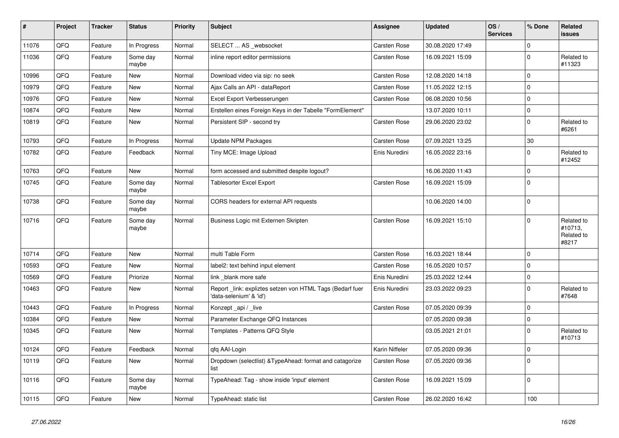| $\vert$ # | Project | <b>Tracker</b> | <b>Status</b>     | <b>Priority</b> | <b>Subject</b>                                                                      | Assignee            | <b>Updated</b>   | OS/<br><b>Services</b> | % Done      | Related<br><b>issues</b>                     |
|-----------|---------|----------------|-------------------|-----------------|-------------------------------------------------------------------------------------|---------------------|------------------|------------------------|-------------|----------------------------------------------|
| 11076     | QFQ     | Feature        | In Progress       | Normal          | SELECT  AS _websocket                                                               | Carsten Rose        | 30.08.2020 17:49 |                        | $\Omega$    |                                              |
| 11036     | QFQ     | Feature        | Some day<br>maybe | Normal          | inline report editor permissions                                                    | <b>Carsten Rose</b> | 16.09.2021 15:09 |                        | $\Omega$    | Related to<br>#11323                         |
| 10996     | QFQ     | Feature        | <b>New</b>        | Normal          | Download video via sip: no seek                                                     | Carsten Rose        | 12.08.2020 14:18 |                        | $\Omega$    |                                              |
| 10979     | QFQ     | Feature        | <b>New</b>        | Normal          | Ajax Calls an API - dataReport                                                      | Carsten Rose        | 11.05.2022 12:15 |                        | $\mathbf 0$ |                                              |
| 10976     | QFQ     | Feature        | New               | Normal          | Excel Export Verbesserungen                                                         | Carsten Rose        | 06.08.2020 10:56 |                        | $\mathbf 0$ |                                              |
| 10874     | QFQ     | Feature        | New               | Normal          | Erstellen eines Foreign Keys in der Tabelle "FormElement"                           |                     | 13.07.2020 10:11 |                        | $\Omega$    |                                              |
| 10819     | QFQ     | Feature        | <b>New</b>        | Normal          | Persistent SIP - second try                                                         | <b>Carsten Rose</b> | 29.06.2020 23:02 |                        | $\Omega$    | Related to<br>#6261                          |
| 10793     | QFQ     | Feature        | In Progress       | Normal          | <b>Update NPM Packages</b>                                                          | Carsten Rose        | 07.09.2021 13:25 |                        | 30          |                                              |
| 10782     | QFQ     | Feature        | Feedback          | Normal          | Tiny MCE: Image Upload                                                              | Enis Nuredini       | 16.05.2022 23:16 |                        | $\mathbf 0$ | Related to<br>#12452                         |
| 10763     | QFQ     | Feature        | New               | Normal          | form accessed and submitted despite logout?                                         |                     | 16.06.2020 11:43 |                        | $\mathbf 0$ |                                              |
| 10745     | QFQ     | Feature        | Some day<br>maybe | Normal          | Tablesorter Excel Export                                                            | Carsten Rose        | 16.09.2021 15:09 |                        | $\Omega$    |                                              |
| 10738     | QFQ     | Feature        | Some day<br>maybe | Normal          | CORS headers for external API requests                                              |                     | 10.06.2020 14:00 |                        | $\mathbf 0$ |                                              |
| 10716     | QFQ     | Feature        | Some day<br>maybe | Normal          | Business Logic mit Externen Skripten                                                | Carsten Rose        | 16.09.2021 15:10 |                        | $\Omega$    | Related to<br>#10713.<br>Related to<br>#8217 |
| 10714     | QFQ     | Feature        | <b>New</b>        | Normal          | multi Table Form                                                                    | <b>Carsten Rose</b> | 16.03.2021 18:44 |                        | $\Omega$    |                                              |
| 10593     | QFQ     | Feature        | <b>New</b>        | Normal          | label2: text behind input element                                                   | <b>Carsten Rose</b> | 16.05.2020 10:57 |                        | $\Omega$    |                                              |
| 10569     | QFQ     | Feature        | Priorize          | Normal          | link blank more safe                                                                | Enis Nuredini       | 25.03.2022 12:44 |                        | $\mathbf 0$ |                                              |
| 10463     | QFQ     | Feature        | New               | Normal          | Report link: expliztes setzen von HTML Tags (Bedarf fuer<br>'data-selenium' & 'id') | Enis Nuredini       | 23.03.2022 09:23 |                        | $\mathbf 0$ | Related to<br>#7648                          |
| 10443     | QFQ     | Feature        | In Progress       | Normal          | Konzept_api / _live                                                                 | Carsten Rose        | 07.05.2020 09:39 |                        | $\Omega$    |                                              |
| 10384     | QFQ     | Feature        | <b>New</b>        | Normal          | Parameter Exchange QFQ Instances                                                    |                     | 07.05.2020 09:38 |                        | $\mathbf 0$ |                                              |
| 10345     | QFQ     | Feature        | New               | Normal          | Templates - Patterns QFQ Style                                                      |                     | 03.05.2021 21:01 |                        | $\mathbf 0$ | Related to<br>#10713                         |
| 10124     | QFQ     | Feature        | Feedback          | Normal          | qfq AAI-Login                                                                       | Karin Niffeler      | 07.05.2020 09:36 |                        | $\mathbf 0$ |                                              |
| 10119     | QFQ     | Feature        | New               | Normal          | Dropdown (selectlist) & TypeAhead: format and catagorize<br>list                    | Carsten Rose        | 07.05.2020 09:36 |                        | $\mathbf 0$ |                                              |
| 10116     | QFQ     | Feature        | Some day<br>maybe | Normal          | TypeAhead: Tag - show inside 'input' element                                        | Carsten Rose        | 16.09.2021 15:09 |                        | $\Omega$    |                                              |
| 10115     | QFQ     | Feature        | New               | Normal          | TypeAhead: static list                                                              | Carsten Rose        | 26.02.2020 16:42 |                        | 100         |                                              |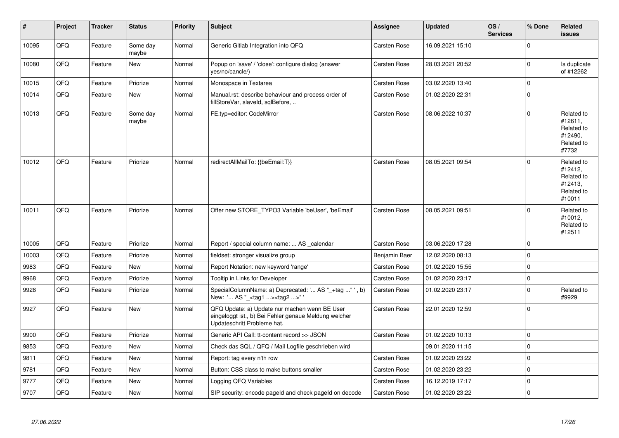| #     | Project | <b>Tracker</b> | <b>Status</b>     | <b>Priority</b> | <b>Subject</b>                                                                                                                        | <b>Assignee</b>     | <b>Updated</b>   | OS/<br><b>Services</b> | % Done      | Related<br><b>issues</b>                                               |
|-------|---------|----------------|-------------------|-----------------|---------------------------------------------------------------------------------------------------------------------------------------|---------------------|------------------|------------------------|-------------|------------------------------------------------------------------------|
| 10095 | QFQ     | Feature        | Some day<br>maybe | Normal          | Generic Gitlab Integration into QFQ                                                                                                   | <b>Carsten Rose</b> | 16.09.2021 15:10 |                        | $\Omega$    |                                                                        |
| 10080 | QFQ     | Feature        | New               | Normal          | Popup on 'save' / 'close': configure dialog (answer<br>yes/no/cancle/)                                                                | <b>Carsten Rose</b> | 28.03.2021 20:52 |                        | $\Omega$    | Is duplicate<br>of #12262                                              |
| 10015 | QFQ     | Feature        | Priorize          | Normal          | Monospace in Textarea                                                                                                                 | Carsten Rose        | 03.02.2020 13:40 |                        | $\Omega$    |                                                                        |
| 10014 | QFQ     | Feature        | New               | Normal          | Manual.rst: describe behaviour and process order of<br>fillStoreVar, slaveId, sqlBefore,                                              | <b>Carsten Rose</b> | 01.02.2020 22:31 |                        | $\Omega$    |                                                                        |
| 10013 | QFQ     | Feature        | Some day<br>maybe | Normal          | FE.typ=editor: CodeMirror                                                                                                             | Carsten Rose        | 08.06.2022 10:37 |                        | $\Omega$    | Related to<br>#12611,<br>Related to<br>#12490,<br>Related to<br>#7732  |
| 10012 | QFQ     | Feature        | Priorize          | Normal          | redirectAllMailTo: {{beEmail:T}}                                                                                                      | Carsten Rose        | 08.05.2021 09:54 |                        | $\Omega$    | Related to<br>#12412,<br>Related to<br>#12413.<br>Related to<br>#10011 |
| 10011 | QFQ     | Feature        | Priorize          | Normal          | Offer new STORE TYPO3 Variable 'beUser', 'beEmail'                                                                                    | <b>Carsten Rose</b> | 08.05.2021 09:51 |                        | $\Omega$    | Related to<br>#10012,<br>Related to<br>#12511                          |
| 10005 | QFQ     | Feature        | Priorize          | Normal          | Report / special column name:  AS _calendar                                                                                           | Carsten Rose        | 03.06.2020 17:28 |                        | $\Omega$    |                                                                        |
| 10003 | QFQ     | Feature        | Priorize          | Normal          | fieldset: stronger visualize group                                                                                                    | Benjamin Baer       | 12.02.2020 08:13 |                        | $\Omega$    |                                                                        |
| 9983  | QFQ     | Feature        | New               | Normal          | Report Notation: new keyword 'range'                                                                                                  | <b>Carsten Rose</b> | 01.02.2020 15:55 |                        | $\Omega$    |                                                                        |
| 9968  | QFQ     | Feature        | Priorize          | Normal          | Tooltip in Links for Developer                                                                                                        | <b>Carsten Rose</b> | 01.02.2020 23:17 |                        | $\mathbf 0$ |                                                                        |
| 9928  | QFQ     | Feature        | Priorize          | Normal          | SpecialColumnName: a) Deprecated: ' AS "_+tag " ', b)<br>New: ' AS "_ <tag1><tag2>"</tag2></tag1>                                     | Carsten Rose        | 01.02.2020 23:17 |                        | $\Omega$    | Related to<br>#9929                                                    |
| 9927  | QFQ     | Feature        | <b>New</b>        | Normal          | QFQ Update: a) Update nur machen wenn BE User<br>eingeloggt ist., b) Bei Fehler genaue Meldung welcher<br>Updateschritt Probleme hat. | Carsten Rose        | 22.01.2020 12:59 |                        | $\Omega$    |                                                                        |
| 9900  | QFQ     | Feature        | Priorize          | Normal          | Generic API Call: tt-content record >> JSON                                                                                           | <b>Carsten Rose</b> | 01.02.2020 10:13 |                        | $\Omega$    |                                                                        |
| 9853  | QFQ     | Feature        | <b>New</b>        | Normal          | Check das SQL / QFQ / Mail Logfile geschrieben wird                                                                                   |                     | 09.01.2020 11:15 |                        | $\Omega$    |                                                                        |
| 9811  | QFQ     | Feature        | New               | Normal          | Report: tag every n'th row                                                                                                            | Carsten Rose        | 01.02.2020 23:22 |                        | $\Omega$    |                                                                        |
| 9781  | QFQ     | Feature        | New               | Normal          | Button: CSS class to make buttons smaller                                                                                             | <b>Carsten Rose</b> | 01.02.2020 23:22 |                        | $\mathbf 0$ |                                                                        |
| 9777  | QFQ     | Feature        | <b>New</b>        | Normal          | Logging QFQ Variables                                                                                                                 | <b>Carsten Rose</b> | 16.12.2019 17:17 |                        | $\Omega$    |                                                                        |
| 9707  | QFQ     | Feature        | New               | Normal          | SIP security: encode pageld and check pageld on decode                                                                                | Carsten Rose        | 01.02.2020 23:22 |                        | $\Omega$    |                                                                        |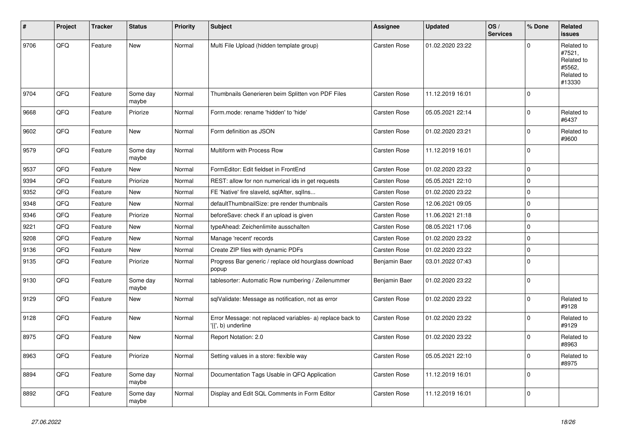| #    | Project | <b>Tracker</b> | <b>Status</b>     | <b>Priority</b> | <b>Subject</b>                                                                 | <b>Assignee</b>     | <b>Updated</b>   | OS/<br><b>Services</b> | % Done      | Related<br><b>issues</b>                                             |
|------|---------|----------------|-------------------|-----------------|--------------------------------------------------------------------------------|---------------------|------------------|------------------------|-------------|----------------------------------------------------------------------|
| 9706 | QFQ     | Feature        | <b>New</b>        | Normal          | Multi File Upload (hidden template group)                                      | <b>Carsten Rose</b> | 01.02.2020 23:22 |                        | $\mathbf 0$ | Related to<br>#7521,<br>Related to<br>#5562,<br>Related to<br>#13330 |
| 9704 | QFQ     | Feature        | Some day<br>maybe | Normal          | Thumbnails Generieren beim Splitten von PDF Files                              | Carsten Rose        | 11.12.2019 16:01 |                        | $\mathbf 0$ |                                                                      |
| 9668 | QFQ     | Feature        | Priorize          | Normal          | Form.mode: rename 'hidden' to 'hide'                                           | <b>Carsten Rose</b> | 05.05.2021 22:14 |                        | $\mathbf 0$ | Related to<br>#6437                                                  |
| 9602 | QFQ     | Feature        | New               | Normal          | Form definition as JSON                                                        | Carsten Rose        | 01.02.2020 23:21 |                        | $\mathbf 0$ | Related to<br>#9600                                                  |
| 9579 | QFQ     | Feature        | Some day<br>maybe | Normal          | Multiform with Process Row                                                     | <b>Carsten Rose</b> | 11.12.2019 16:01 |                        | $\mathbf 0$ |                                                                      |
| 9537 | QFQ     | Feature        | New               | Normal          | FormEditor: Edit fieldset in FrontEnd                                          | <b>Carsten Rose</b> | 01.02.2020 23:22 |                        | $\mathbf 0$ |                                                                      |
| 9394 | QFQ     | Feature        | Priorize          | Normal          | REST: allow for non numerical ids in get requests                              | Carsten Rose        | 05.05.2021 22:10 |                        | $\mathbf 0$ |                                                                      |
| 9352 | QFQ     | Feature        | New               | Normal          | FE 'Native' fire slaveld, sqlAfter, sqlIns                                     | Carsten Rose        | 01.02.2020 23:22 |                        | $\mathbf 0$ |                                                                      |
| 9348 | QFQ     | Feature        | <b>New</b>        | Normal          | defaultThumbnailSize: pre render thumbnails                                    | Carsten Rose        | 12.06.2021 09:05 |                        | $\pmb{0}$   |                                                                      |
| 9346 | QFQ     | Feature        | Priorize          | Normal          | beforeSave: check if an upload is given                                        | Carsten Rose        | 11.06.2021 21:18 |                        | $\mathbf 0$ |                                                                      |
| 9221 | QFQ     | Feature        | <b>New</b>        | Normal          | typeAhead: Zeichenlimite ausschalten                                           | Carsten Rose        | 08.05.2021 17:06 |                        | $\mathbf 0$ |                                                                      |
| 9208 | QFQ     | Feature        | <b>New</b>        | Normal          | Manage 'recent' records                                                        | Carsten Rose        | 01.02.2020 23:22 |                        | $\pmb{0}$   |                                                                      |
| 9136 | QFQ     | Feature        | <b>New</b>        | Normal          | Create ZIP files with dynamic PDFs                                             | Carsten Rose        | 01.02.2020 23:22 |                        | $\pmb{0}$   |                                                                      |
| 9135 | QFQ     | Feature        | Priorize          | Normal          | Progress Bar generic / replace old hourglass download<br>popup                 | Benjamin Baer       | 03.01.2022 07:43 |                        | $\pmb{0}$   |                                                                      |
| 9130 | QFQ     | Feature        | Some day<br>maybe | Normal          | tablesorter: Automatic Row numbering / Zeilenummer                             | Benjamin Baer       | 01.02.2020 23:22 |                        | $\pmb{0}$   |                                                                      |
| 9129 | QFQ     | Feature        | <b>New</b>        | Normal          | sqlValidate: Message as notification, not as error                             | Carsten Rose        | 01.02.2020 23:22 |                        | $\Omega$    | Related to<br>#9128                                                  |
| 9128 | QFQ     | Feature        | <b>New</b>        | Normal          | Error Message: not replaced variables- a) replace back to<br>{{', b) underline | <b>Carsten Rose</b> | 01.02.2020 23:22 |                        | $\mathbf 0$ | Related to<br>#9129                                                  |
| 8975 | QFQ     | Feature        | <b>New</b>        | Normal          | Report Notation: 2.0                                                           | Carsten Rose        | 01.02.2020 23:22 |                        | $\pmb{0}$   | Related to<br>#8963                                                  |
| 8963 | QFQ     | Feature        | Priorize          | Normal          | Setting values in a store: flexible way                                        | Carsten Rose        | 05.05.2021 22:10 |                        | $\mathbf 0$ | Related to<br>#8975                                                  |
| 8894 | QFQ     | Feature        | Some day<br>maybe | Normal          | Documentation Tags Usable in QFQ Application                                   | <b>Carsten Rose</b> | 11.12.2019 16:01 |                        | $\mathbf 0$ |                                                                      |
| 8892 | QFQ     | Feature        | Some day<br>maybe | Normal          | Display and Edit SQL Comments in Form Editor                                   | <b>Carsten Rose</b> | 11.12.2019 16:01 |                        | $\mathbf 0$ |                                                                      |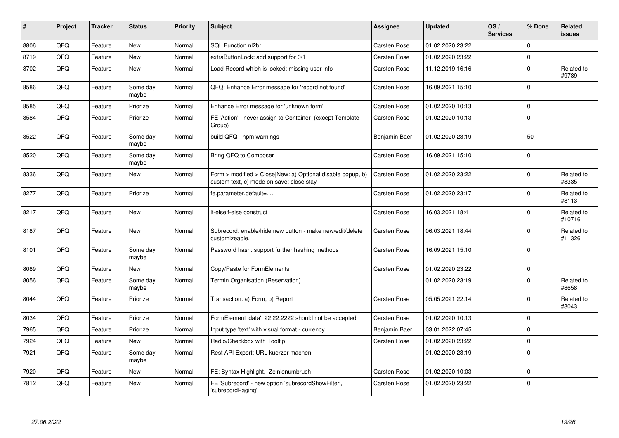| $\sharp$ | Project | <b>Tracker</b> | <b>Status</b>     | <b>Priority</b> | <b>Subject</b>                                                                                         | <b>Assignee</b>     | <b>Updated</b>   | OS/<br><b>Services</b> | % Done       | <b>Related</b><br><b>issues</b> |
|----------|---------|----------------|-------------------|-----------------|--------------------------------------------------------------------------------------------------------|---------------------|------------------|------------------------|--------------|---------------------------------|
| 8806     | QFQ     | Feature        | <b>New</b>        | Normal          | SQL Function nl2br                                                                                     | Carsten Rose        | 01.02.2020 23:22 |                        | $\Omega$     |                                 |
| 8719     | QFQ     | Feature        | New               | Normal          | extraButtonLock: add support for 0/1                                                                   | Carsten Rose        | 01.02.2020 23:22 |                        | $\pmb{0}$    |                                 |
| 8702     | QFQ     | Feature        | New               | Normal          | Load Record which is locked: missing user info                                                         | <b>Carsten Rose</b> | 11.12.2019 16:16 |                        | $\pmb{0}$    | Related to<br>#9789             |
| 8586     | QFQ     | Feature        | Some day<br>maybe | Normal          | QFQ: Enhance Error message for 'record not found'                                                      | Carsten Rose        | 16.09.2021 15:10 |                        | $\mathsf 0$  |                                 |
| 8585     | QFQ     | Feature        | Priorize          | Normal          | Enhance Error message for 'unknown form'                                                               | Carsten Rose        | 01.02.2020 10:13 |                        | $\mathbf 0$  |                                 |
| 8584     | QFQ     | Feature        | Priorize          | Normal          | FE 'Action' - never assign to Container (except Template<br>Group)                                     | <b>Carsten Rose</b> | 01.02.2020 10:13 |                        | $\mathbf 0$  |                                 |
| 8522     | QFQ     | Feature        | Some day<br>maybe | Normal          | build QFQ - npm warnings                                                                               | Benjamin Baer       | 01.02.2020 23:19 |                        | 50           |                                 |
| 8520     | QFQ     | Feature        | Some day<br>maybe | Normal          | Bring QFQ to Composer                                                                                  | Carsten Rose        | 16.09.2021 15:10 |                        | $\mathsf 0$  |                                 |
| 8336     | QFQ     | Feature        | New               | Normal          | Form > modified > Close New: a) Optional disable popup, b)<br>custom text, c) mode on save: close stay | <b>Carsten Rose</b> | 01.02.2020 23:22 |                        | $\mathbf{0}$ | Related to<br>#8335             |
| 8277     | QFQ     | Feature        | Priorize          | Normal          | fe.parameter.default=                                                                                  | <b>Carsten Rose</b> | 01.02.2020 23:17 |                        | $\pmb{0}$    | Related to<br>#8113             |
| 8217     | QFQ     | Feature        | New               | Normal          | if-elseif-else construct                                                                               | Carsten Rose        | 16.03.2021 18:41 |                        | $\mathbf 0$  | Related to<br>#10716            |
| 8187     | QFQ     | Feature        | New               | Normal          | Subrecord: enable/hide new button - make new/edit/delete<br>customizeable.                             | <b>Carsten Rose</b> | 06.03.2021 18:44 |                        | $\mathbf 0$  | Related to<br>#11326            |
| 8101     | QFQ     | Feature        | Some day<br>maybe | Normal          | Password hash: support further hashing methods                                                         | Carsten Rose        | 16.09.2021 15:10 |                        | $\mathsf 0$  |                                 |
| 8089     | QFQ     | Feature        | New               | Normal          | Copy/Paste for FormElements                                                                            | Carsten Rose        | 01.02.2020 23:22 |                        | $\pmb{0}$    |                                 |
| 8056     | QFQ     | Feature        | Some day<br>maybe | Normal          | Termin Organisation (Reservation)                                                                      |                     | 01.02.2020 23:19 |                        | $\pmb{0}$    | Related to<br>#8658             |
| 8044     | QFQ     | Feature        | Priorize          | Normal          | Transaction: a) Form, b) Report                                                                        | <b>Carsten Rose</b> | 05.05.2021 22:14 |                        | $\mathbf 0$  | Related to<br>#8043             |
| 8034     | QFQ     | Feature        | Priorize          | Normal          | FormElement 'data': 22.22.2222 should not be accepted                                                  | Carsten Rose        | 01.02.2020 10:13 |                        | $\mathbf 0$  |                                 |
| 7965     | QFQ     | Feature        | Priorize          | Normal          | Input type 'text' with visual format - currency                                                        | Benjamin Baer       | 03.01.2022 07:45 |                        | $\mathbf 0$  |                                 |
| 7924     | QFQ     | Feature        | <b>New</b>        | Normal          | Radio/Checkbox with Tooltip                                                                            | <b>Carsten Rose</b> | 01.02.2020 23:22 |                        | $\mathbf{0}$ |                                 |
| 7921     | QFQ     | Feature        | Some day<br>maybe | Normal          | Rest API Export: URL kuerzer machen                                                                    |                     | 01.02.2020 23:19 |                        | $\mathsf 0$  |                                 |
| 7920     | QFQ     | Feature        | <b>New</b>        | Normal          | FE: Syntax Highlight, Zeinlenumbruch                                                                   | <b>Carsten Rose</b> | 01.02.2020 10:03 |                        | $\mathbf{0}$ |                                 |
| 7812     | QFQ     | Feature        | New               | Normal          | FE 'Subrecord' - new option 'subrecordShowFilter',<br>'subrecordPaging'                                | Carsten Rose        | 01.02.2020 23:22 |                        | $\mathbf 0$  |                                 |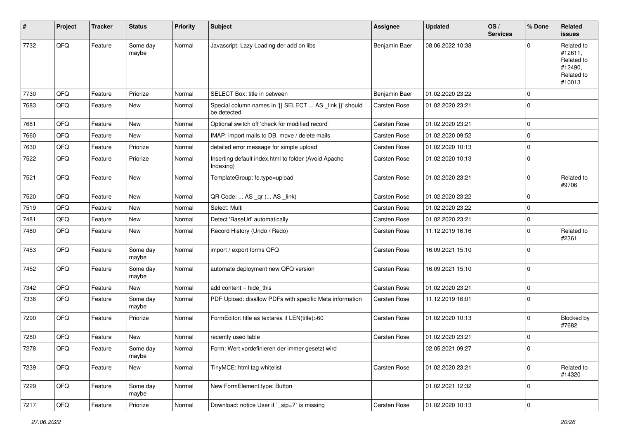| #    | Project        | <b>Tracker</b> | <b>Status</b>     | <b>Priority</b> | <b>Subject</b>                                                         | <b>Assignee</b>     | <b>Updated</b>   | OS/<br><b>Services</b> | % Done      | Related<br>issues                                                      |
|------|----------------|----------------|-------------------|-----------------|------------------------------------------------------------------------|---------------------|------------------|------------------------|-------------|------------------------------------------------------------------------|
| 7732 | QFQ            | Feature        | Some day<br>maybe | Normal          | Javascript: Lazy Loading der add on libs                               | Benjamin Baer       | 08.06.2022 10:38 |                        | $\Omega$    | Related to<br>#12611,<br>Related to<br>#12490,<br>Related to<br>#10013 |
| 7730 | QFQ            | Feature        | Priorize          | Normal          | SELECT Box: title in between                                           | Benjamin Baer       | 01.02.2020 23:22 |                        | $\mathbf 0$ |                                                                        |
| 7683 | QFQ            | Feature        | New               | Normal          | Special column names in '{{ SELECT  AS _link }}' should<br>be detected | Carsten Rose        | 01.02.2020 23:21 |                        | $\Omega$    |                                                                        |
| 7681 | QFQ            | Feature        | <b>New</b>        | Normal          | Optional switch off 'check for modified record'                        | <b>Carsten Rose</b> | 01.02.2020 23:21 |                        | $\mathbf 0$ |                                                                        |
| 7660 | QFQ            | Feature        | New               | Normal          | IMAP: import mails to DB, move / delete mails                          | Carsten Rose        | 01.02.2020 09:52 |                        | $\mathbf 0$ |                                                                        |
| 7630 | QFQ            | Feature        | Priorize          | Normal          | detailed error message for simple upload                               | <b>Carsten Rose</b> | 01.02.2020 10:13 |                        | $\mathbf 0$ |                                                                        |
| 7522 | QFQ            | Feature        | Priorize          | Normal          | Inserting default index.html to folder (Avoid Apache<br>Indexing)      | Carsten Rose        | 01.02.2020 10:13 |                        | $\mathbf 0$ |                                                                        |
| 7521 | QFQ            | Feature        | New               | Normal          | TemplateGroup: fe.type=upload                                          | Carsten Rose        | 01.02.2020 23:21 |                        | $\mathbf 0$ | Related to<br>#9706                                                    |
| 7520 | QFQ            | Feature        | <b>New</b>        | Normal          | QR Code:  AS _qr ( AS _link)                                           | <b>Carsten Rose</b> | 01.02.2020 23:22 |                        | $\mathbf 0$ |                                                                        |
| 7519 | QFQ            | Feature        | New               | Normal          | Select: Multi                                                          | Carsten Rose        | 01.02.2020 23:22 |                        | 0           |                                                                        |
| 7481 | QFQ            | Feature        | New               | Normal          | Detect 'BaseUrl' automatically                                         | Carsten Rose        | 01.02.2020 23:21 |                        | $\mathbf 0$ |                                                                        |
| 7480 | QFQ            | Feature        | New               | Normal          | Record History (Undo / Redo)                                           | Carsten Rose        | 11.12.2019 16:16 |                        | $\mathbf 0$ | Related to<br>#2361                                                    |
| 7453 | QFQ            | Feature        | Some day<br>maybe | Normal          | import / export forms QFQ                                              | Carsten Rose        | 16.09.2021 15:10 |                        | $\mathbf 0$ |                                                                        |
| 7452 | QFQ            | Feature        | Some day<br>maybe | Normal          | automate deployment new QFQ version                                    | Carsten Rose        | 16.09.2021 15:10 |                        | $\mathbf 0$ |                                                                        |
| 7342 | QFQ            | Feature        | <b>New</b>        | Normal          | add content $=$ hide this                                              | <b>Carsten Rose</b> | 01.02.2020 23:21 |                        | $\mathbf 0$ |                                                                        |
| 7336 | QFQ            | Feature        | Some day<br>maybe | Normal          | PDF Upload: disallow PDFs with specific Meta information               | Carsten Rose        | 11.12.2019 16:01 |                        | $\Omega$    |                                                                        |
| 7290 | QFQ            | Feature        | Priorize          | Normal          | FormEditor: title as textarea if LEN(title)>60                         | Carsten Rose        | 01.02.2020 10:13 |                        | $\mathbf 0$ | Blocked by<br>#7682                                                    |
| 7280 | QFQ            | Feature        | New               | Normal          | recently used table                                                    | Carsten Rose        | 01.02.2020 23:21 |                        | $\mathbf 0$ |                                                                        |
| 7278 | QFQ            | Feature        | Some day<br>maybe | Normal          | Form: Wert vordefinieren der immer gesetzt wird                        |                     | 02.05.2021 09:27 |                        | $\Omega$    |                                                                        |
| 7239 | QFQ            | Feature        | New               | Normal          | TinyMCE: html tag whitelist                                            | Carsten Rose        | 01.02.2020 23:21 |                        | $\mathbf 0$ | Related to<br>#14320                                                   |
| 7229 | QFQ            | Feature        | Some day<br>maybe | Normal          | New FormElement.type: Button                                           |                     | 01.02.2021 12:32 |                        | $\mathbf 0$ |                                                                        |
| 7217 | $\mathsf{QFQ}$ | Feature        | Priorize          | Normal          | Download: notice User if `_sip=?` is missing                           | Carsten Rose        | 01.02.2020 10:13 |                        | $\pmb{0}$   |                                                                        |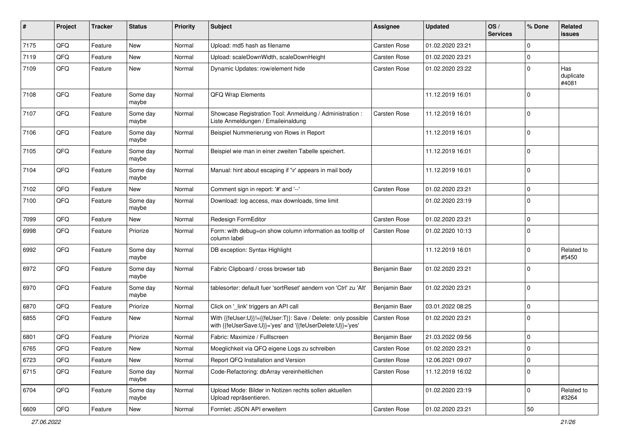| #    | Project | <b>Tracker</b> | <b>Status</b>     | <b>Priority</b> | <b>Subject</b>                                                                                                             | Assignee            | <b>Updated</b>   | OS/<br><b>Services</b> | % Done      | Related<br><b>issues</b>  |
|------|---------|----------------|-------------------|-----------------|----------------------------------------------------------------------------------------------------------------------------|---------------------|------------------|------------------------|-------------|---------------------------|
| 7175 | QFQ     | Feature        | <b>New</b>        | Normal          | Upload: md5 hash as filename                                                                                               | <b>Carsten Rose</b> | 01.02.2020 23:21 |                        | $\mathbf 0$ |                           |
| 7119 | QFQ     | Feature        | New               | Normal          | Upload: scaleDownWidth, scaleDownHeight                                                                                    | <b>Carsten Rose</b> | 01.02.2020 23:21 |                        | 0           |                           |
| 7109 | QFQ     | Feature        | New               | Normal          | Dynamic Updates: row/element hide                                                                                          | Carsten Rose        | 01.02.2020 23:22 |                        | $\mathbf 0$ | Has<br>duplicate<br>#4081 |
| 7108 | QFQ     | Feature        | Some day<br>maybe | Normal          | QFQ Wrap Elements                                                                                                          |                     | 11.12.2019 16:01 |                        | $\mathbf 0$ |                           |
| 7107 | QFQ     | Feature        | Some day<br>maybe | Normal          | Showcase Registration Tool: Anmeldung / Administration :<br>Liste Anmeldungen / Emaileinaldung                             | Carsten Rose        | 11.12.2019 16:01 |                        | $\mathbf 0$ |                           |
| 7106 | QFQ     | Feature        | Some day<br>maybe | Normal          | Beispiel Nummerierung von Rows in Report                                                                                   |                     | 11.12.2019 16:01 |                        | $\mathbf 0$ |                           |
| 7105 | QFQ     | Feature        | Some day<br>maybe | Normal          | Beispiel wie man in einer zweiten Tabelle speichert.                                                                       |                     | 11.12.2019 16:01 |                        | $\mathbf 0$ |                           |
| 7104 | QFQ     | Feature        | Some day<br>maybe | Normal          | Manual: hint about escaping if '\r' appears in mail body                                                                   |                     | 11.12.2019 16:01 |                        | $\mathbf 0$ |                           |
| 7102 | QFQ     | Feature        | New               | Normal          | Comment sign in report: '#' and '--'                                                                                       | Carsten Rose        | 01.02.2020 23:21 |                        | $\mathbf 0$ |                           |
| 7100 | QFQ     | Feature        | Some day<br>maybe | Normal          | Download: log access, max downloads, time limit                                                                            |                     | 01.02.2020 23:19 |                        | $\mathbf 0$ |                           |
| 7099 | QFQ     | Feature        | New               | Normal          | Redesign FormEditor                                                                                                        | Carsten Rose        | 01.02.2020 23:21 |                        | $\mathbf 0$ |                           |
| 6998 | QFQ     | Feature        | Priorize          | Normal          | Form: with debug=on show column information as tooltip of<br>column label                                                  | <b>Carsten Rose</b> | 01.02.2020 10:13 |                        | $\mathbf 0$ |                           |
| 6992 | QFQ     | Feature        | Some day<br>maybe | Normal          | DB exception: Syntax Highlight                                                                                             |                     | 11.12.2019 16:01 |                        | $\mathbf 0$ | Related to<br>#5450       |
| 6972 | QFQ     | Feature        | Some day<br>maybe | Normal          | Fabric Clipboard / cross browser tab                                                                                       | Benjamin Baer       | 01.02.2020 23:21 |                        | $\mathbf 0$ |                           |
| 6970 | QFQ     | Feature        | Some day<br>maybe | Normal          | tablesorter: default fuer 'sortReset' aendern von 'Ctrl' zu 'Alt'                                                          | Benjamin Baer       | 01.02.2020 23:21 |                        | $\mathbf 0$ |                           |
| 6870 | QFQ     | Feature        | Priorize          | Normal          | Click on '_link' triggers an API call                                                                                      | Benjamin Baer       | 03.01.2022 08:25 |                        | $\mathbf 0$ |                           |
| 6855 | QFQ     | Feature        | New               | Normal          | With {{feUser:U}}!={{feUser:T}}: Save / Delete: only possible<br>with {{feUserSave:U}}='yes' and '{{feUserDelete:U}}='yes' | Carsten Rose        | 01.02.2020 23:21 |                        | $\mathbf 0$ |                           |
| 6801 | QFQ     | Feature        | Priorize          | Normal          | Fabric: Maximize / Fulllscreen                                                                                             | Benjamin Baer       | 21.03.2022 09:56 |                        | $\mathbf 0$ |                           |
| 6765 | QFQ     | Feature        | New               | Normal          | Moeglichkeit via QFQ eigene Logs zu schreiben                                                                              | Carsten Rose        | 01.02.2020 23:21 |                        | $\Omega$    |                           |
| 6723 | QFQ     | Feature        | New               | Normal          | Report QFQ Installation and Version                                                                                        | Carsten Rose        | 12.06.2021 09:07 |                        | $\mathbf 0$ |                           |
| 6715 | QFQ     | Feature        | Some day<br>maybe | Normal          | Code-Refactoring: dbArray vereinheitlichen                                                                                 | Carsten Rose        | 11.12.2019 16:02 |                        | $\mathbf 0$ |                           |
| 6704 | QFQ     | Feature        | Some day<br>maybe | Normal          | Upload Mode: Bilder in Notizen rechts sollen aktuellen<br>Upload repräsentieren.                                           |                     | 01.02.2020 23:19 |                        | $\mathbf 0$ | Related to<br>#3264       |
| 6609 | QFG     | Feature        | New               | Normal          | Formlet: JSON API erweitern                                                                                                | Carsten Rose        | 01.02.2020 23:21 |                        | $50\,$      |                           |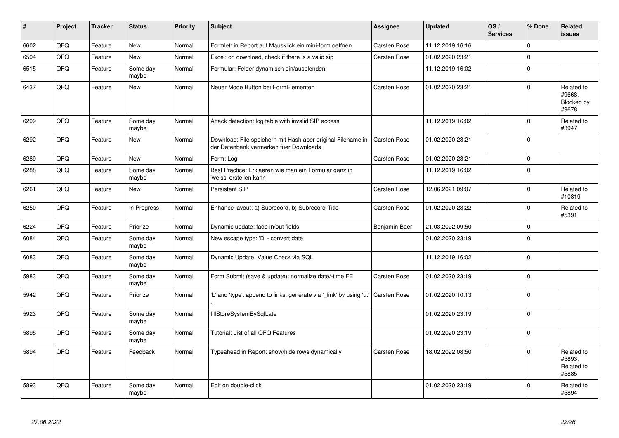| $\vert$ # | Project | <b>Tracker</b> | <b>Status</b>     | <b>Priority</b> | <b>Subject</b>                                                                                        | <b>Assignee</b>     | <b>Updated</b>   | OS/<br><b>Services</b> | % Done      | Related<br>issues                           |
|-----------|---------|----------------|-------------------|-----------------|-------------------------------------------------------------------------------------------------------|---------------------|------------------|------------------------|-------------|---------------------------------------------|
| 6602      | QFQ     | Feature        | <b>New</b>        | Normal          | Formlet: in Report auf Mausklick ein mini-form oeffnen                                                | <b>Carsten Rose</b> | 11.12.2019 16:16 |                        | $\Omega$    |                                             |
| 6594      | QFQ     | Feature        | New               | Normal          | Excel: on download, check if there is a valid sip                                                     | Carsten Rose        | 01.02.2020 23:21 |                        | $\Omega$    |                                             |
| 6515      | QFQ     | Feature        | Some day<br>maybe | Normal          | Formular: Felder dynamisch ein/ausblenden                                                             |                     | 11.12.2019 16:02 |                        | $\mathbf 0$ |                                             |
| 6437      | QFQ     | Feature        | <b>New</b>        | Normal          | Neuer Mode Button bei FormElementen                                                                   | Carsten Rose        | 01.02.2020 23:21 |                        | $\Omega$    | Related to<br>#9668,<br>Blocked by<br>#9678 |
| 6299      | QFQ     | Feature        | Some day<br>maybe | Normal          | Attack detection: log table with invalid SIP access                                                   |                     | 11.12.2019 16:02 |                        | $\Omega$    | Related to<br>#3947                         |
| 6292      | QFQ     | Feature        | <b>New</b>        | Normal          | Download: File speichern mit Hash aber original Filename in<br>der Datenbank vermerken fuer Downloads | <b>Carsten Rose</b> | 01.02.2020 23:21 |                        | $\Omega$    |                                             |
| 6289      | QFQ     | Feature        | <b>New</b>        | Normal          | Form: Log                                                                                             | Carsten Rose        | 01.02.2020 23:21 |                        | $\mathbf 0$ |                                             |
| 6288      | QFQ     | Feature        | Some day<br>maybe | Normal          | Best Practice: Erklaeren wie man ein Formular ganz in<br>'weiss' erstellen kann                       |                     | 11.12.2019 16:02 |                        | $\Omega$    |                                             |
| 6261      | QFQ     | Feature        | New               | Normal          | <b>Persistent SIP</b>                                                                                 | <b>Carsten Rose</b> | 12.06.2021 09:07 |                        | $\mathbf 0$ | Related to<br>#10819                        |
| 6250      | QFQ     | Feature        | In Progress       | Normal          | Enhance layout: a) Subrecord, b) Subrecord-Title                                                      | Carsten Rose        | 01.02.2020 23:22 |                        | $\Omega$    | Related to<br>#5391                         |
| 6224      | QFQ     | Feature        | Priorize          | Normal          | Dynamic update: fade in/out fields                                                                    | Benjamin Baer       | 21.03.2022 09:50 |                        | $\mathbf 0$ |                                             |
| 6084      | QFQ     | Feature        | Some day<br>maybe | Normal          | New escape type: 'D' - convert date                                                                   |                     | 01.02.2020 23:19 |                        | $\Omega$    |                                             |
| 6083      | QFQ     | Feature        | Some day<br>maybe | Normal          | Dynamic Update: Value Check via SQL                                                                   |                     | 11.12.2019 16:02 |                        | $\Omega$    |                                             |
| 5983      | QFQ     | Feature        | Some day<br>maybe | Normal          | Form Submit (save & update): normalize date/-time FE                                                  | Carsten Rose        | 01.02.2020 23:19 |                        | $\Omega$    |                                             |
| 5942      | QFQ     | Feature        | Priorize          | Normal          | 'L' and 'type': append to links, generate via '_link' by using 'u:'                                   | Carsten Rose        | 01.02.2020 10:13 |                        | $\Omega$    |                                             |
| 5923      | QFQ     | Feature        | Some day<br>maybe | Normal          | fillStoreSystemBySqlLate                                                                              |                     | 01.02.2020 23:19 |                        | $\Omega$    |                                             |
| 5895      | QFQ     | Feature        | Some day<br>maybe | Normal          | Tutorial: List of all QFQ Features                                                                    |                     | 01.02.2020 23:19 |                        | $\mathbf 0$ |                                             |
| 5894      | QFQ     | Feature        | Feedback          | Normal          | Typeahead in Report: show/hide rows dynamically                                                       | <b>Carsten Rose</b> | 18.02.2022 08:50 |                        | $\Omega$    | Related to<br>#5893.<br>Related to<br>#5885 |
| 5893      | QFQ     | Feature        | Some day<br>maybe | Normal          | Edit on double-click                                                                                  |                     | 01.02.2020 23:19 |                        | $\Omega$    | Related to<br>#5894                         |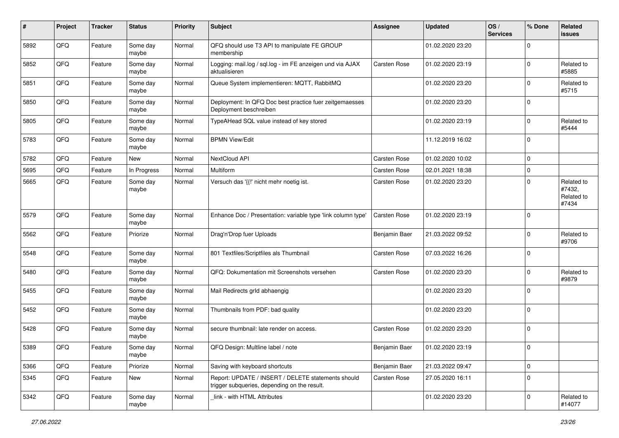| #    | Project | <b>Tracker</b> | <b>Status</b>     | <b>Priority</b> | <b>Subject</b>                                                                                     | <b>Assignee</b>     | <b>Updated</b>   | OS/<br><b>Services</b> | % Done      | Related<br><b>issues</b>                    |
|------|---------|----------------|-------------------|-----------------|----------------------------------------------------------------------------------------------------|---------------------|------------------|------------------------|-------------|---------------------------------------------|
| 5892 | QFQ     | Feature        | Some day<br>maybe | Normal          | QFQ should use T3 API to manipulate FE GROUP<br>membership                                         |                     | 01.02.2020 23:20 |                        | $\Omega$    |                                             |
| 5852 | QFQ     | Feature        | Some day<br>maybe | Normal          | Logging: mail.log / sql.log - im FE anzeigen und via AJAX<br>aktualisieren                         | <b>Carsten Rose</b> | 01.02.2020 23:19 |                        | $\Omega$    | Related to<br>#5885                         |
| 5851 | QFQ     | Feature        | Some day<br>maybe | Normal          | Queue System implementieren: MQTT, RabbitMQ                                                        |                     | 01.02.2020 23:20 |                        | 0           | Related to<br>#5715                         |
| 5850 | QFQ     | Feature        | Some day<br>maybe | Normal          | Deployment: In QFQ Doc best practice fuer zeitgemaesses<br>Deployment beschreiben                  |                     | 01.02.2020 23:20 |                        | $\Omega$    |                                             |
| 5805 | QFQ     | Feature        | Some day<br>maybe | Normal          | TypeAHead SQL value instead of key stored                                                          |                     | 01.02.2020 23:19 |                        | $\Omega$    | Related to<br>#5444                         |
| 5783 | QFQ     | Feature        | Some day<br>maybe | Normal          | <b>BPMN View/Edit</b>                                                                              |                     | 11.12.2019 16:02 |                        | $\Omega$    |                                             |
| 5782 | QFQ     | Feature        | New               | Normal          | NextCloud API                                                                                      | Carsten Rose        | 01.02.2020 10:02 |                        | $\mathbf 0$ |                                             |
| 5695 | QFQ     | Feature        | In Progress       | Normal          | Multiform                                                                                          | Carsten Rose        | 02.01.2021 18:38 |                        | 0           |                                             |
| 5665 | QFQ     | Feature        | Some day<br>maybe | Normal          | Versuch das '{{!' nicht mehr noetig ist.                                                           | Carsten Rose        | 01.02.2020 23:20 |                        | 0           | Related to<br>#7432,<br>Related to<br>#7434 |
| 5579 | QFQ     | Feature        | Some day<br>maybe | Normal          | Enhance Doc / Presentation: variable type 'link column type'                                       | Carsten Rose        | 01.02.2020 23:19 |                        | $\Omega$    |                                             |
| 5562 | QFQ     | Feature        | Priorize          | Normal          | Drag'n'Drop fuer Uploads                                                                           | Benjamin Baer       | 21.03.2022 09:52 |                        | $\Omega$    | Related to<br>#9706                         |
| 5548 | QFQ     | Feature        | Some day<br>maybe | Normal          | 801 Textfiles/Scriptfiles als Thumbnail                                                            | Carsten Rose        | 07.03.2022 16:26 |                        | $\Omega$    |                                             |
| 5480 | QFQ     | Feature        | Some day<br>maybe | Normal          | QFQ: Dokumentation mit Screenshots versehen                                                        | Carsten Rose        | 01.02.2020 23:20 |                        | $\Omega$    | Related to<br>#9879                         |
| 5455 | QFQ     | Feature        | Some day<br>maybe | Normal          | Mail Redirects grld abhaengig                                                                      |                     | 01.02.2020 23:20 |                        | $\Omega$    |                                             |
| 5452 | QFQ     | Feature        | Some day<br>maybe | Normal          | Thumbnails from PDF: bad quality                                                                   |                     | 01.02.2020 23:20 |                        | $\Omega$    |                                             |
| 5428 | QFQ     | Feature        | Some day<br>maybe | Normal          | secure thumbnail: late render on access.                                                           | Carsten Rose        | 01.02.2020 23:20 |                        | $\mathbf 0$ |                                             |
| 5389 | QFQ     | Feature        | Some day<br>maybe | Normal          | QFQ Design: Multline label / note                                                                  | Benjamin Baer       | 01.02.2020 23:19 |                        | $\Omega$    |                                             |
| 5366 | QFQ     | Feature        | Priorize          | Normal          | Saving with keyboard shortcuts                                                                     | Benjamin Baer       | 21.03.2022 09:47 |                        | $\mathbf 0$ |                                             |
| 5345 | QFQ     | Feature        | New               | Normal          | Report: UPDATE / INSERT / DELETE statements should<br>trigger subqueries, depending on the result. | Carsten Rose        | 27.05.2020 16:11 |                        | $\mathbf 0$ |                                             |
| 5342 | QFQ     | Feature        | Some day<br>maybe | Normal          | link - with HTML Attributes                                                                        |                     | 01.02.2020 23:20 |                        | 0           | Related to<br>#14077                        |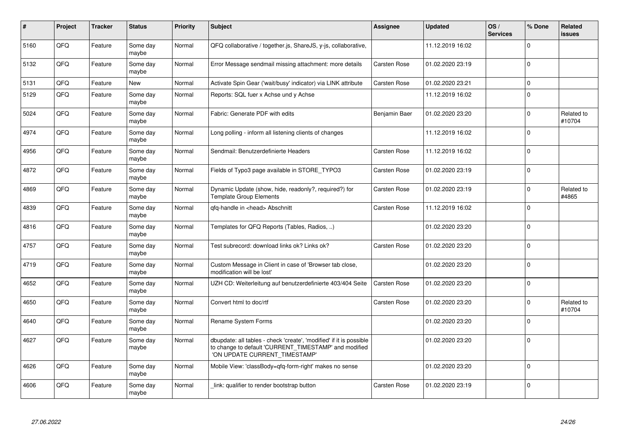| #    | Project | <b>Tracker</b> | <b>Status</b>     | <b>Priority</b> | <b>Subject</b>                                                                                                                                                | <b>Assignee</b>     | <b>Updated</b>   | OS/<br><b>Services</b> | % Done      | <b>Related</b><br><b>issues</b> |
|------|---------|----------------|-------------------|-----------------|---------------------------------------------------------------------------------------------------------------------------------------------------------------|---------------------|------------------|------------------------|-------------|---------------------------------|
| 5160 | QFQ     | Feature        | Some day<br>maybe | Normal          | QFQ collaborative / together.js, ShareJS, y-js, collaborative,                                                                                                |                     | 11.12.2019 16:02 |                        | $\Omega$    |                                 |
| 5132 | QFQ     | Feature        | Some day<br>maybe | Normal          | Error Message sendmail missing attachment: more details                                                                                                       | <b>Carsten Rose</b> | 01.02.2020 23:19 |                        | $\mathbf 0$ |                                 |
| 5131 | QFQ     | Feature        | <b>New</b>        | Normal          | Activate Spin Gear ('wait/busy' indicator) via LINK attribute                                                                                                 | <b>Carsten Rose</b> | 01.02.2020 23:21 |                        | $\mathbf 0$ |                                 |
| 5129 | QFQ     | Feature        | Some day<br>maybe | Normal          | Reports: SQL fuer x Achse und y Achse                                                                                                                         |                     | 11.12.2019 16:02 |                        | $\Omega$    |                                 |
| 5024 | QFQ     | Feature        | Some day<br>maybe | Normal          | Fabric: Generate PDF with edits                                                                                                                               | Benjamin Baer       | 01.02.2020 23:20 |                        | $\mathbf 0$ | Related to<br>#10704            |
| 4974 | QFQ     | Feature        | Some day<br>maybe | Normal          | Long polling - inform all listening clients of changes                                                                                                        |                     | 11.12.2019 16:02 |                        | $\mathbf 0$ |                                 |
| 4956 | QFQ     | Feature        | Some day<br>maybe | Normal          | Sendmail: Benutzerdefinierte Headers                                                                                                                          | Carsten Rose        | 11.12.2019 16:02 |                        | $\mathbf 0$ |                                 |
| 4872 | QFQ     | Feature        | Some dav<br>maybe | Normal          | Fields of Typo3 page available in STORE_TYPO3                                                                                                                 | Carsten Rose        | 01.02.2020 23:19 |                        | $\mathbf 0$ |                                 |
| 4869 | QFQ     | Feature        | Some day<br>maybe | Normal          | Dynamic Update (show, hide, readonly?, required?) for<br><b>Template Group Elements</b>                                                                       | <b>Carsten Rose</b> | 01.02.2020 23:19 |                        | $\mathbf 0$ | Related to<br>#4865             |
| 4839 | QFQ     | Feature        | Some day<br>maybe | Normal          | qfq-handle in <head> Abschnitt</head>                                                                                                                         | <b>Carsten Rose</b> | 11.12.2019 16:02 |                        | $\mathbf 0$ |                                 |
| 4816 | QFQ     | Feature        | Some day<br>maybe | Normal          | Templates for QFQ Reports (Tables, Radios, )                                                                                                                  |                     | 01.02.2020 23:20 |                        | $\mathbf 0$ |                                 |
| 4757 | QFQ     | Feature        | Some day<br>maybe | Normal          | Test subrecord: download links ok? Links ok?                                                                                                                  | <b>Carsten Rose</b> | 01.02.2020 23:20 |                        | $\mathbf 0$ |                                 |
| 4719 | QFQ     | Feature        | Some dav<br>maybe | Normal          | Custom Message in Client in case of 'Browser tab close,<br>modification will be lost'                                                                         |                     | 01.02.2020 23:20 |                        | $\mathbf 0$ |                                 |
| 4652 | QFQ     | Feature        | Some day<br>maybe | Normal          | UZH CD: Weiterleitung auf benutzerdefinierte 403/404 Seite                                                                                                    | <b>Carsten Rose</b> | 01.02.2020 23:20 |                        | $\mathbf 0$ |                                 |
| 4650 | QFQ     | Feature        | Some day<br>maybe | Normal          | Convert html to doc/rtf                                                                                                                                       | <b>Carsten Rose</b> | 01.02.2020 23:20 |                        | $\mathbf 0$ | Related to<br>#10704            |
| 4640 | QFQ     | Feature        | Some day<br>maybe | Normal          | Rename System Forms                                                                                                                                           |                     | 01.02.2020 23:20 |                        | $\mathbf 0$ |                                 |
| 4627 | QFQ     | Feature        | Some day<br>maybe | Normal          | dbupdate: all tables - check 'create', 'modified' if it is possible<br>to change to default 'CURRENT_TIMESTAMP' and modified<br>'ON UPDATE CURRENT_TIMESTAMP' |                     | 01.02.2020 23:20 |                        | $\mathbf 0$ |                                 |
| 4626 | QFQ     | Feature        | Some day<br>maybe | Normal          | Mobile View: 'classBody=qfq-form-right' makes no sense                                                                                                        |                     | 01.02.2020 23:20 |                        | $\mathbf 0$ |                                 |
| 4606 | QFQ     | Feature        | Some day<br>maybe | Normal          | link: qualifier to render bootstrap button                                                                                                                    | Carsten Rose        | 01.02.2020 23:19 |                        | $\mathbf 0$ |                                 |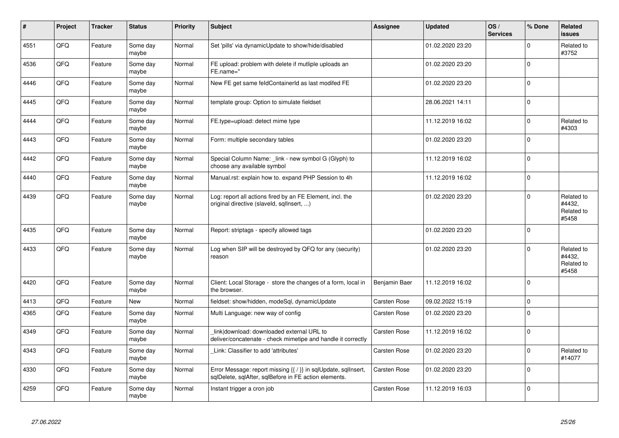| #    | Project | <b>Tracker</b> | <b>Status</b>     | <b>Priority</b> | <b>Subject</b>                                                                                                          | <b>Assignee</b>     | <b>Updated</b>   | OS/<br><b>Services</b> | % Done      | Related<br><b>issues</b>                    |
|------|---------|----------------|-------------------|-----------------|-------------------------------------------------------------------------------------------------------------------------|---------------------|------------------|------------------------|-------------|---------------------------------------------|
| 4551 | QFQ     | Feature        | Some day<br>maybe | Normal          | Set 'pills' via dynamicUpdate to show/hide/disabled                                                                     |                     | 01.02.2020 23:20 |                        | $\mathbf 0$ | Related to<br>#3752                         |
| 4536 | QFQ     | Feature        | Some day<br>maybe | Normal          | FE upload: problem with delete if mutliple uploads an<br>FE.name="                                                      |                     | 01.02.2020 23:20 |                        | $\mathbf 0$ |                                             |
| 4446 | QFQ     | Feature        | Some day<br>maybe | Normal          | New FE get same feldContainerId as last modifed FE                                                                      |                     | 01.02.2020 23:20 |                        | $\mathbf 0$ |                                             |
| 4445 | QFQ     | Feature        | Some day<br>maybe | Normal          | template group: Option to simulate fieldset                                                                             |                     | 28.06.2021 14:11 |                        | $\mathbf 0$ |                                             |
| 4444 | QFQ     | Feature        | Some day<br>maybe | Normal          | FE.type=upload: detect mime type                                                                                        |                     | 11.12.2019 16:02 |                        | $\Omega$    | Related to<br>#4303                         |
| 4443 | QFQ     | Feature        | Some day<br>maybe | Normal          | Form: multiple secondary tables                                                                                         |                     | 01.02.2020 23:20 |                        | $\mathbf 0$ |                                             |
| 4442 | QFQ     | Feature        | Some day<br>maybe | Normal          | Special Column Name: _link - new symbol G (Glyph) to<br>choose any available symbol                                     |                     | 11.12.2019 16:02 |                        | $\mathbf 0$ |                                             |
| 4440 | QFQ     | Feature        | Some day<br>maybe | Normal          | Manual.rst: explain how to. expand PHP Session to 4h                                                                    |                     | 11.12.2019 16:02 |                        | $\mathbf 0$ |                                             |
| 4439 | QFQ     | Feature        | Some day<br>maybe | Normal          | Log: report all actions fired by an FE Element, incl. the<br>original directive (slaveld, sqllnsert, )                  |                     | 01.02.2020 23:20 |                        | $\mathbf 0$ | Related to<br>#4432,<br>Related to<br>#5458 |
| 4435 | QFQ     | Feature        | Some day<br>maybe | Normal          | Report: striptags - specify allowed tags                                                                                |                     | 01.02.2020 23:20 |                        | $\Omega$    |                                             |
| 4433 | QFQ     | Feature        | Some day<br>maybe | Normal          | Log when SIP will be destroyed by QFQ for any (security)<br>reason                                                      |                     | 01.02.2020 23:20 |                        | $\Omega$    | Related to<br>#4432.<br>Related to<br>#5458 |
| 4420 | QFQ     | Feature        | Some day<br>maybe | Normal          | Client: Local Storage - store the changes of a form, local in<br>the browser.                                           | Benjamin Baer       | 11.12.2019 16:02 |                        | $\mathbf 0$ |                                             |
| 4413 | QFQ     | Feature        | New               | Normal          | fieldset: show/hidden, modeSql, dynamicUpdate                                                                           | Carsten Rose        | 09.02.2022 15:19 |                        | $\mathbf 0$ |                                             |
| 4365 | QFQ     | Feature        | Some day<br>maybe | Normal          | Multi Language: new way of config                                                                                       | Carsten Rose        | 01.02.2020 23:20 |                        | $\Omega$    |                                             |
| 4349 | QFQ     | Feature        | Some day<br>maybe | Normal          | link download: downloaded external URL to<br>deliver/concatenate - check mimetipe and handle it correctly               | Carsten Rose        | 11.12.2019 16:02 |                        | $\mathbf 0$ |                                             |
| 4343 | QFQ     | Feature        | Some day<br>maybe | Normal          | Link: Classifier to add 'attributes'                                                                                    | Carsten Rose        | 01.02.2020 23:20 |                        | $\mathbf 0$ | Related to<br>#14077                        |
| 4330 | QFQ     | Feature        | Some day<br>maybe | Normal          | Error Message: report missing {{ / }} in sqlUpdate, sqlInsert,<br>sqlDelete, sqlAfter, sqlBefore in FE action elements. | <b>Carsten Rose</b> | 01.02.2020 23:20 |                        | $\mathbf 0$ |                                             |
| 4259 | QFQ     | Feature        | Some day<br>maybe | Normal          | Instant trigger a cron job                                                                                              | <b>Carsten Rose</b> | 11.12.2019 16:03 |                        | $\mathbf 0$ |                                             |